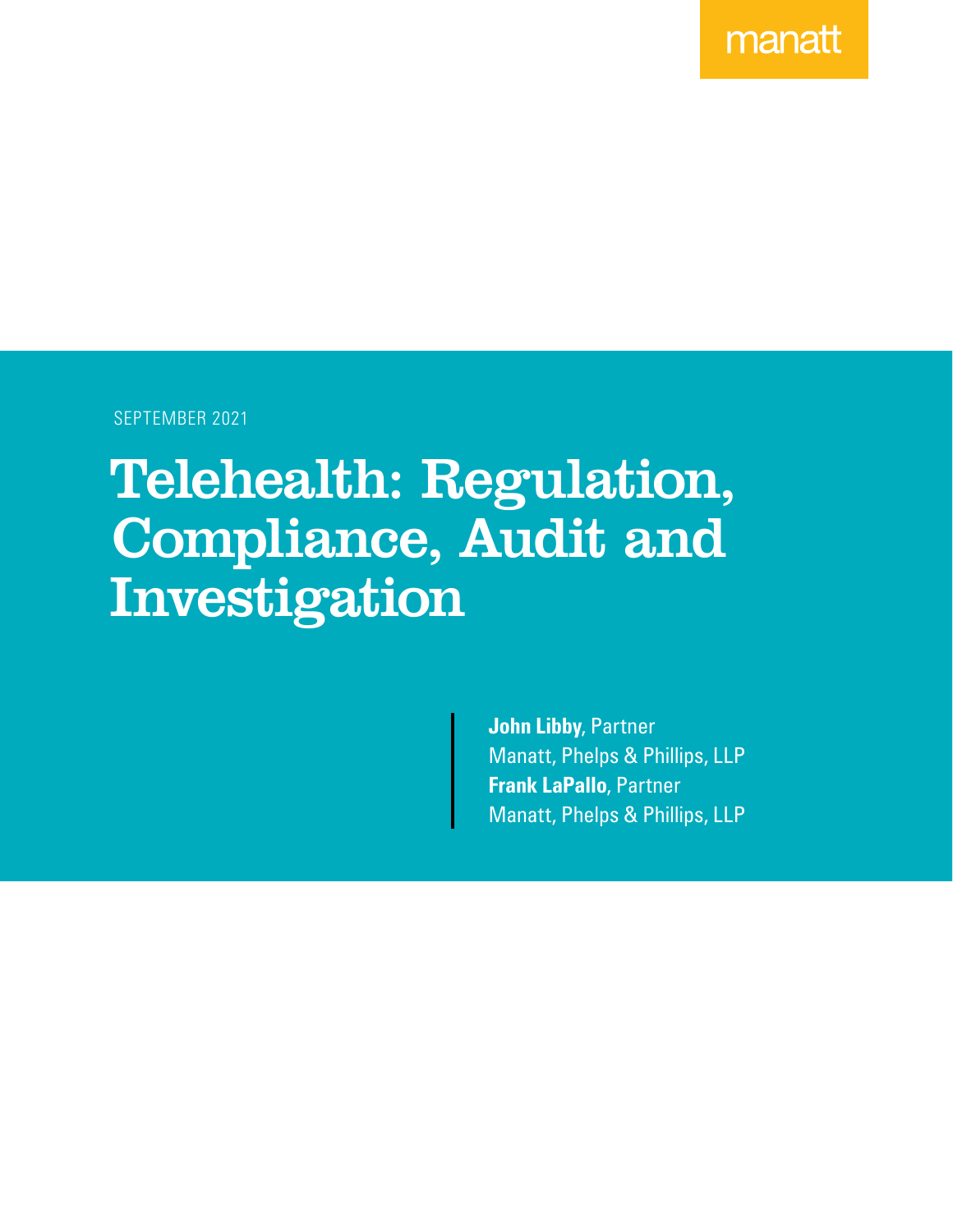manatt

SEPTEMBER 2021

# Telehealth: Regulation, Compliance, Audit and Investigation

**John Libby**, Partner Manatt, Phelps & Phillips, LLP **Frank LaPallo**, Partner Manatt, Phelps & Phillips, LLP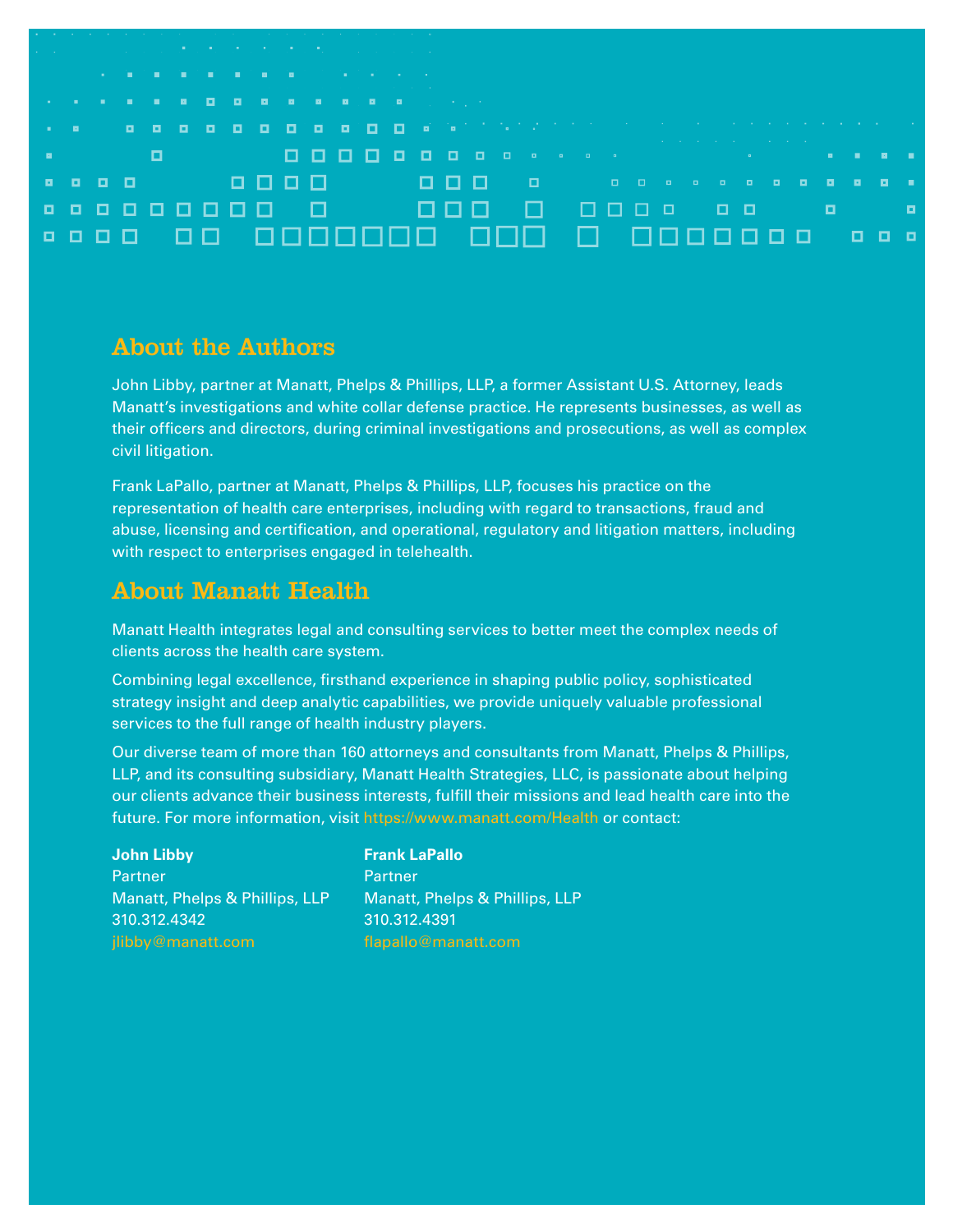| The contract of the contract of the contract of the contract of the contract of the contract of the contract of |                                        |  |   |        |                                                                                                                 |     |                                                                                                                 |  |  |       |                                                                                                                                                                                                                                |  |                                                                                                                 |  |  |  |  |      |  |
|-----------------------------------------------------------------------------------------------------------------|----------------------------------------|--|---|--------|-----------------------------------------------------------------------------------------------------------------|-----|-----------------------------------------------------------------------------------------------------------------|--|--|-------|--------------------------------------------------------------------------------------------------------------------------------------------------------------------------------------------------------------------------------|--|-----------------------------------------------------------------------------------------------------------------|--|--|--|--|------|--|
| the control of the control of the con-                                                                          |                                        |  |   |        |                                                                                                                 |     |                                                                                                                 |  |  |       |                                                                                                                                                                                                                                |  |                                                                                                                 |  |  |  |  |      |  |
|                                                                                                                 |                                        |  |   |        |                                                                                                                 |     | the contract of the contract of the contract of the contract of the contract of the contract of the contract of |  |  |       |                                                                                                                                                                                                                                |  |                                                                                                                 |  |  |  |  |      |  |
|                                                                                                                 |                                        |  |   |        | the contract of the contract of the contract of the contract of the contract of the contract of the contract of |     |                                                                                                                 |  |  |       |                                                                                                                                                                                                                                |  |                                                                                                                 |  |  |  |  |      |  |
|                                                                                                                 |                                        |  |   |        |                                                                                                                 |     |                                                                                                                 |  |  |       |                                                                                                                                                                                                                                |  |                                                                                                                 |  |  |  |  |      |  |
|                                                                                                                 | $\mathbf{u} = \mathbf{u} + \mathbf{u}$ |  |   |        |                                                                                                                 |     |                                                                                                                 |  |  |       |                                                                                                                                                                                                                                |  |                                                                                                                 |  |  |  |  |      |  |
|                                                                                                                 |                                        |  |   |        |                                                                                                                 |     |                                                                                                                 |  |  |       |                                                                                                                                                                                                                                |  |                                                                                                                 |  |  |  |  |      |  |
|                                                                                                                 |                                        |  |   |        |                                                                                                                 |     |                                                                                                                 |  |  |       |                                                                                                                                                                                                                                |  | the contract of the contract of the contract of the contract of the contract of the contract of the contract of |  |  |  |  |      |  |
| п.                                                                                                              |                                        |  | o |        |                                                                                                                 |     |                                                                                                                 |  |  |       |                                                                                                                                                                                                                                |  |                                                                                                                 |  |  |  |  |      |  |
|                                                                                                                 |                                        |  |   |        |                                                                                                                 |     |                                                                                                                 |  |  |       |                                                                                                                                                                                                                                |  |                                                                                                                 |  |  |  |  |      |  |
|                                                                                                                 | .                                      |  |   | ------ |                                                                                                                 |     |                                                                                                                 |  |  |       | a dia kaominina mpikambana amin'ny fivondronan-kaominin'i Gregoria ny faritr'i Nord-Amerika ao amin'ny fivondronan-kaominin'io Amerika. Ao io amin'ny faritr'i Andre-Amerika ao amin'ny fivondronan-kaominin'i Amerika ao amin |  |                                                                                                                 |  |  |  |  | - 80 |  |
|                                                                                                                 |                                        |  |   |        |                                                                                                                 |     |                                                                                                                 |  |  |       |                                                                                                                                                                                                                                |  |                                                                                                                 |  |  |  |  |      |  |
|                                                                                                                 |                                        |  |   | .      | □                                                                                                               | - 0 |                                                                                                                 |  |  | 7 F F | $\Box$                                                                                                                                                                                                                         |  | . 000 o <u>o o</u>                                                                                              |  |  |  |  |      |  |
|                                                                                                                 |                                        |  |   |        |                                                                                                                 |     |                                                                                                                 |  |  |       |                                                                                                                                                                                                                                |  |                                                                                                                 |  |  |  |  |      |  |
|                                                                                                                 | <b>.</b>                               |  |   |        |                                                                                                                 |     |                                                                                                                 |  |  |       | 00 0000000 000 0 0000000 000                                                                                                                                                                                                   |  |                                                                                                                 |  |  |  |  |      |  |
|                                                                                                                 |                                        |  |   |        |                                                                                                                 |     |                                                                                                                 |  |  |       |                                                                                                                                                                                                                                |  |                                                                                                                 |  |  |  |  |      |  |
|                                                                                                                 |                                        |  |   |        |                                                                                                                 |     |                                                                                                                 |  |  |       |                                                                                                                                                                                                                                |  |                                                                                                                 |  |  |  |  |      |  |

### About the Authors

John Libby, partner at Manatt, Phelps & Phillips, LLP, a former Assistant U.S. Attorney, leads Manatt's investigations and white collar defense practice. He represents businesses, as well as their officers and directors, during criminal investigations and prosecutions, as well as complex civil litigation.

Frank LaPallo, partner at Manatt, Phelps & Phillips, LLP, focuses his practice on the representation of health care enterprises, including with regard to transactions, fraud and abuse, licensing and certification, and operational, regulatory and litigation matters, including with respect to enterprises engaged in telehealth.

## About Manatt Health

Manatt Health integrates legal and consulting services to better meet the complex needs of clients across the health care system.

Combining legal excellence, firsthand experience in shaping public policy, sophisticated strategy insight and deep analytic capabilities, we provide uniquely valuable professional services to the full range of health industry players.

Our diverse team of more than 160 attorneys and consultants from Manatt, Phelps & Phillips, LLP, and its consulting subsidiary, Manatt Health Strategies, LLC, is passionate about helping our clients advance their business interests, fulfill their missions and lead health care into the future. For more information, visit <https://www.manatt.com/Health>or contact:

#### **John Libby**

**Partner** Manatt, Phelps & Phillips, LLP 310.312.4342

#### **Frank LaPallo**

**Partner** Manatt, Phelps & Phillips, LLP 310.312.4391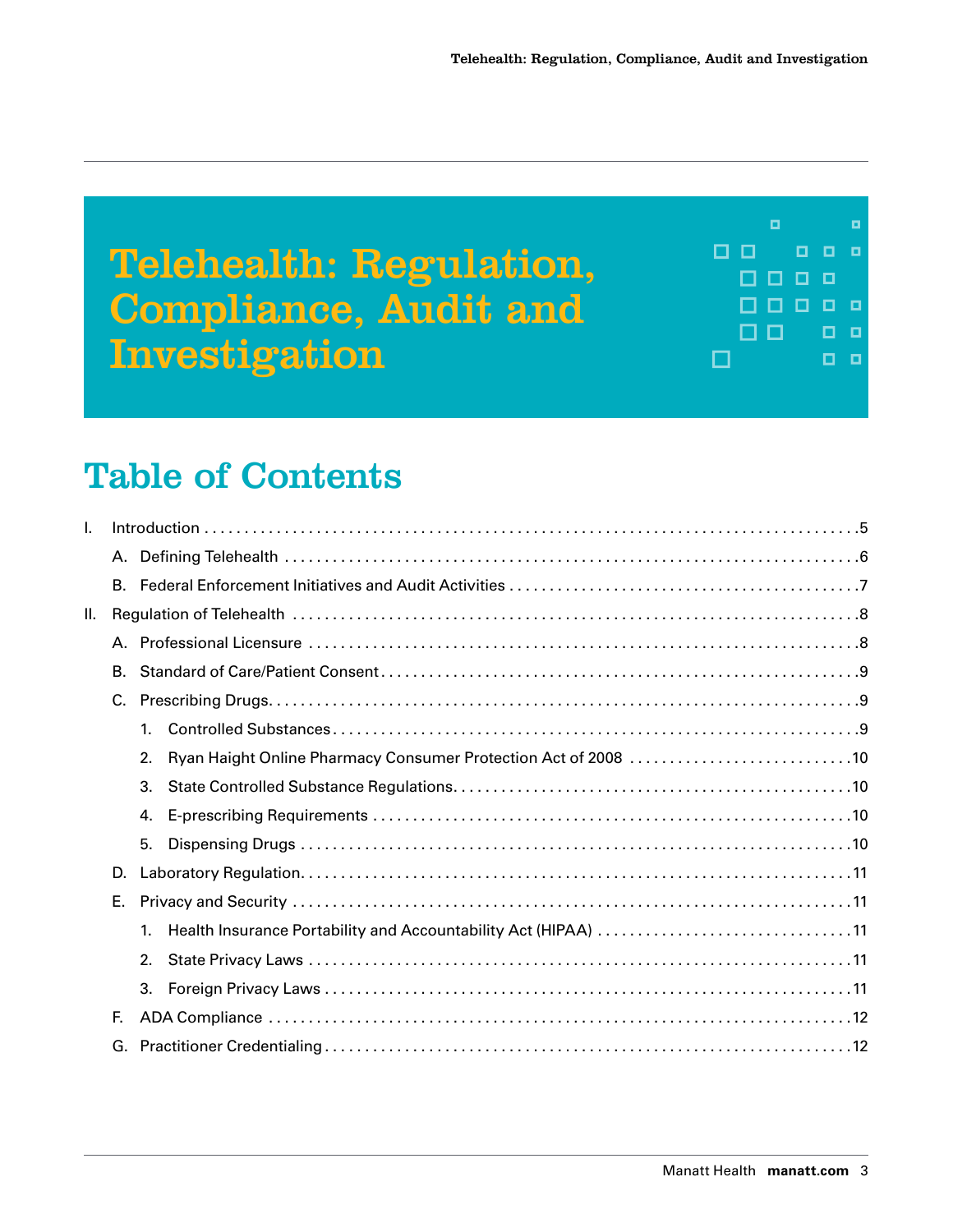Telehealth: Regulation, Compliance, Audit and Investigation



## Table of Contents

| I.  |    |    |  |  |  |  |  |  |  |  |  |  |
|-----|----|----|--|--|--|--|--|--|--|--|--|--|
|     | А. |    |  |  |  |  |  |  |  |  |  |  |
|     |    |    |  |  |  |  |  |  |  |  |  |  |
| II. |    |    |  |  |  |  |  |  |  |  |  |  |
|     | А. |    |  |  |  |  |  |  |  |  |  |  |
|     | В. |    |  |  |  |  |  |  |  |  |  |  |
|     | C. |    |  |  |  |  |  |  |  |  |  |  |
|     |    | 1. |  |  |  |  |  |  |  |  |  |  |
|     |    | 2. |  |  |  |  |  |  |  |  |  |  |
|     |    | 3. |  |  |  |  |  |  |  |  |  |  |
|     |    | 4. |  |  |  |  |  |  |  |  |  |  |
|     |    | 5. |  |  |  |  |  |  |  |  |  |  |
|     | D. |    |  |  |  |  |  |  |  |  |  |  |
|     | Е. |    |  |  |  |  |  |  |  |  |  |  |
|     |    | 1. |  |  |  |  |  |  |  |  |  |  |
|     |    | 2. |  |  |  |  |  |  |  |  |  |  |
|     |    | 3. |  |  |  |  |  |  |  |  |  |  |
|     | E. |    |  |  |  |  |  |  |  |  |  |  |
|     | G. |    |  |  |  |  |  |  |  |  |  |  |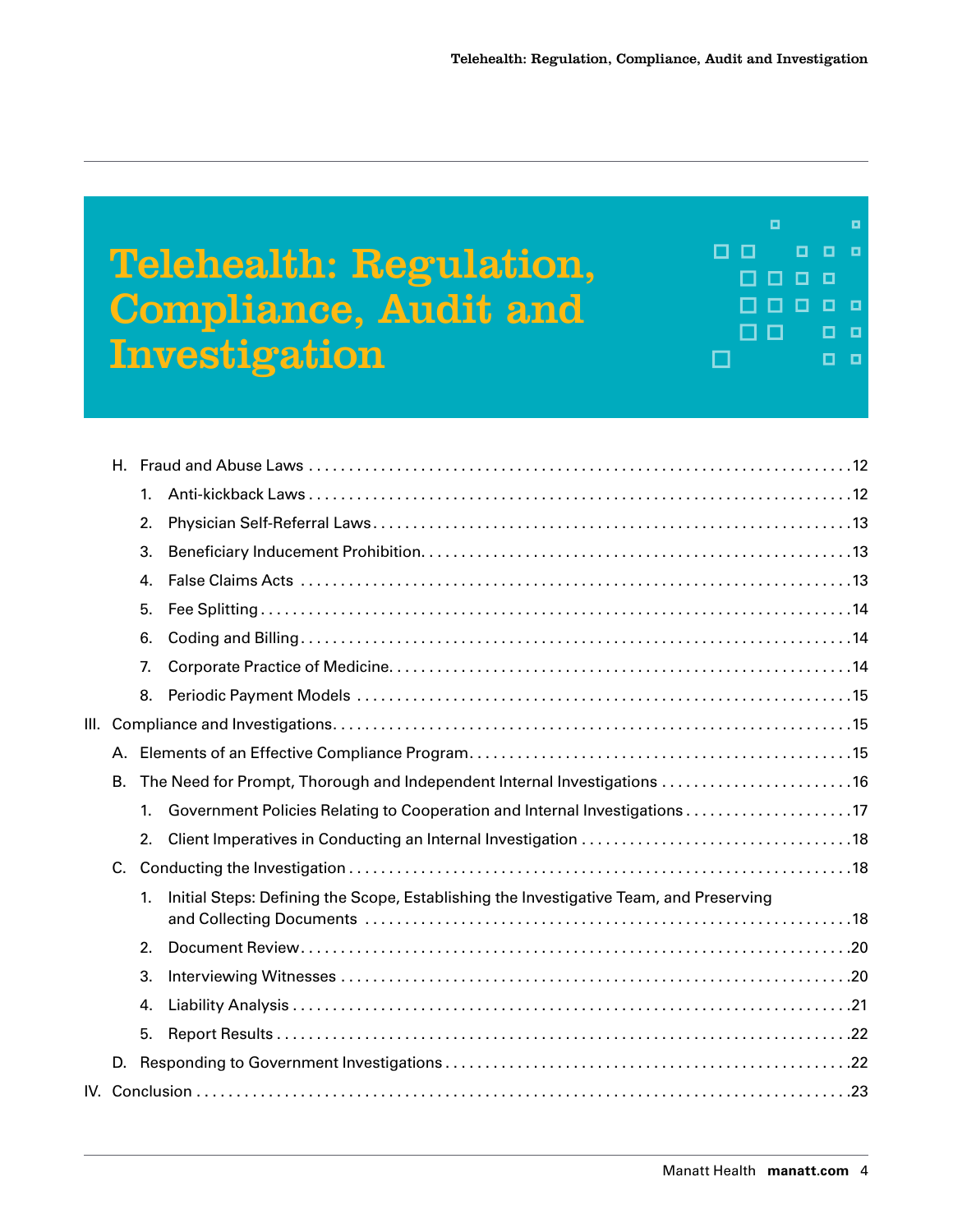## Telehealth: Regulation, Compliance, Audit and Investigation

 $\Box$ о  $\Box$ o  $\Box$  $\blacksquare$  $\Box$ п □ □ 0000 П 0 O  $\Box$  $\Box$  $\Box$  $\Box$  $\Box$ 

|         | 1. |                                                                                        |  |  |  |  |  |  |
|---------|----|----------------------------------------------------------------------------------------|--|--|--|--|--|--|
|         | 2. |                                                                                        |  |  |  |  |  |  |
|         | 3. |                                                                                        |  |  |  |  |  |  |
|         | 4. |                                                                                        |  |  |  |  |  |  |
|         | 5. |                                                                                        |  |  |  |  |  |  |
|         | 6. |                                                                                        |  |  |  |  |  |  |
|         | 7. |                                                                                        |  |  |  |  |  |  |
|         | 8. |                                                                                        |  |  |  |  |  |  |
|         |    |                                                                                        |  |  |  |  |  |  |
| А.      |    |                                                                                        |  |  |  |  |  |  |
| В.      |    | The Need for Prompt, Thorough and Independent Internal Investigations 16               |  |  |  |  |  |  |
|         | 1. |                                                                                        |  |  |  |  |  |  |
|         | 2. |                                                                                        |  |  |  |  |  |  |
| $C_{1}$ |    |                                                                                        |  |  |  |  |  |  |
|         | 1. | Initial Steps: Defining the Scope, Establishing the Investigative Team, and Preserving |  |  |  |  |  |  |
|         | 2. |                                                                                        |  |  |  |  |  |  |
|         | 3. |                                                                                        |  |  |  |  |  |  |
|         | 4. |                                                                                        |  |  |  |  |  |  |
|         | 5. |                                                                                        |  |  |  |  |  |  |
| D.      |    |                                                                                        |  |  |  |  |  |  |
|         |    |                                                                                        |  |  |  |  |  |  |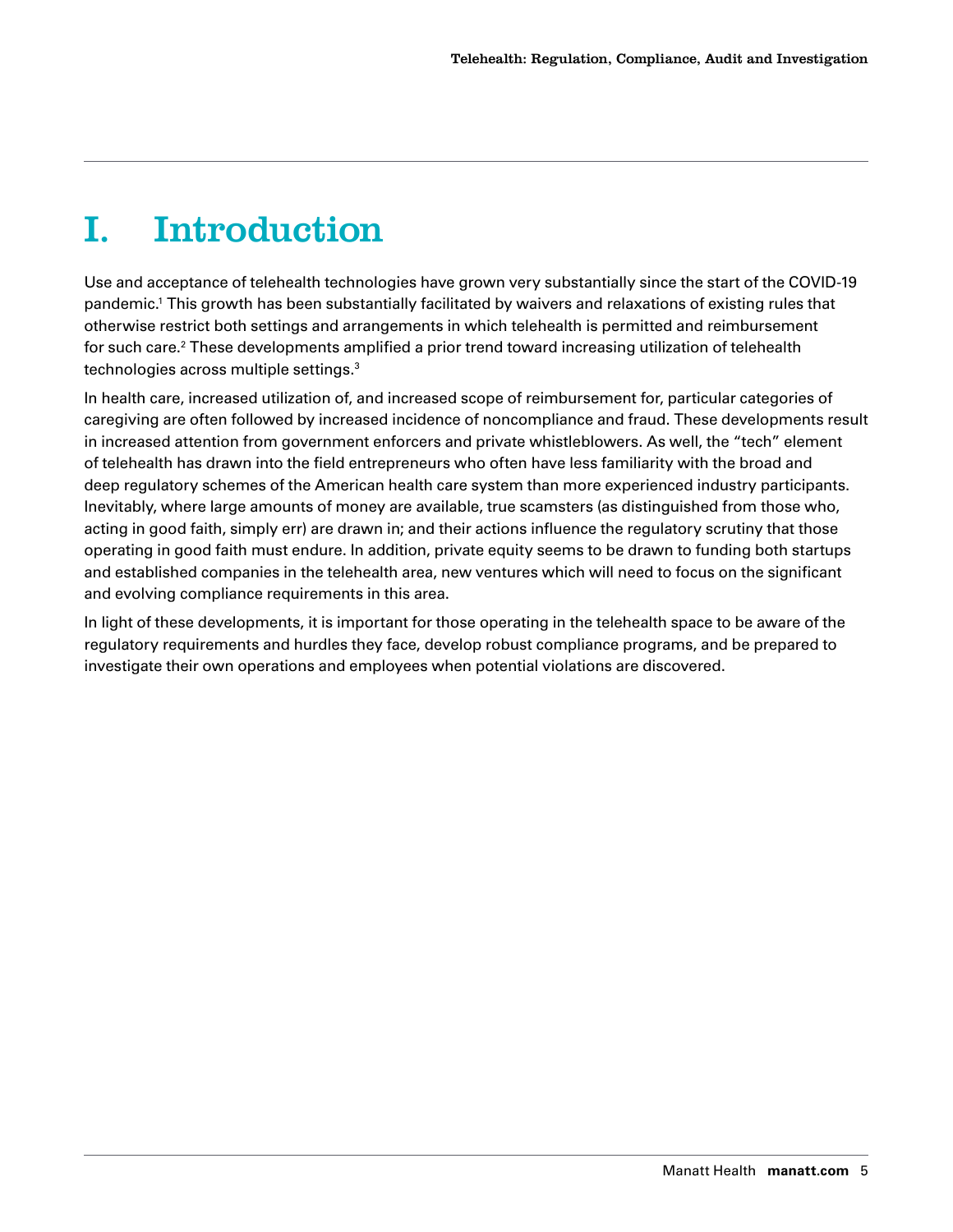## <span id="page-4-0"></span>I. Introduction

Use and acceptance of telehealth technologies have grown very substantially since the start of the COVID-19 pandemic[.1](#page-23-0) This growth has been substantially facilitated by waivers and relaxations of existing rules that otherwise restrict both settings and arrangements in which telehealth is permitted and reimbursement for such care. $^{\rm 2}$  These developments amplified a prior trend toward increasing utilization of telehealth technologies across multiple settings.[3](#page-23-0)

In health care, increased utilization of, and increased scope of reimbursement for, particular categories of caregiving are often followed by increased incidence of noncompliance and fraud. These developments result in increased attention from government enforcers and private whistleblowers. As well, the "tech" element of telehealth has drawn into the field entrepreneurs who often have less familiarity with the broad and deep regulatory schemes of the American health care system than more experienced industry participants. Inevitably, where large amounts of money are available, true scamsters (as distinguished from those who, acting in good faith, simply err) are drawn in; and their actions influence the regulatory scrutiny that those operating in good faith must endure. In addition, private equity seems to be drawn to funding both startups and established companies in the telehealth area, new ventures which will need to focus on the significant and evolving compliance requirements in this area.

In light of these developments, it is important for those operating in the telehealth space to be aware of the regulatory requirements and hurdles they face, develop robust compliance programs, and be prepared to investigate their own operations and employees when potential violations are discovered.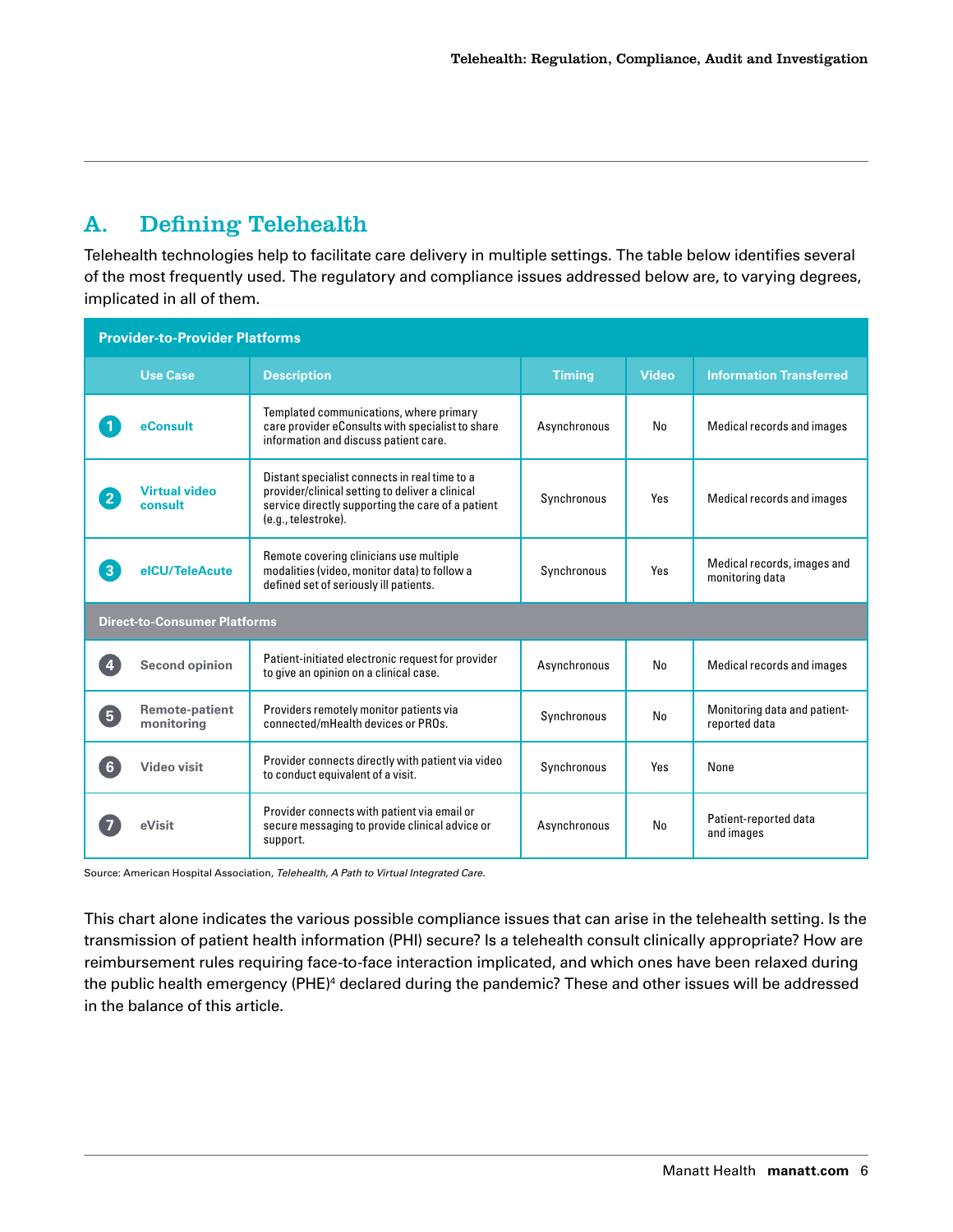## <span id="page-5-0"></span>A. Defining Telehealth

Telehealth technologies help to facilitate care delivery in multiple settings. The table below identifies several of the most frequently used. The regulatory and compliance issues addressed below are, to varying degrees, implicated in all of them.

| <b>Provider-to-Provider Platforms</b> |                                     |                                                                                                                                                                              |               |              |                                                |  |  |  |  |  |  |
|---------------------------------------|-------------------------------------|------------------------------------------------------------------------------------------------------------------------------------------------------------------------------|---------------|--------------|------------------------------------------------|--|--|--|--|--|--|
|                                       | <b>Use Case</b>                     | <b>Description</b>                                                                                                                                                           | <b>Timing</b> | <b>Video</b> | <b>Information Transferred</b>                 |  |  |  |  |  |  |
|                                       | eConsult                            | Templated communications, where primary<br>care provider eConsults with specialist to share<br>information and discuss patient care.                                         | Asynchronous  | No           | Medical records and images                     |  |  |  |  |  |  |
| $\mathbf{2}$                          | <b>Virtual video</b><br>consult     | Distant specialist connects in real time to a<br>provider/clinical setting to deliver a clinical<br>service directly supporting the care of a patient<br>(e.g., telestroke). | Synchronous   | Yes          | Medical records and images                     |  |  |  |  |  |  |
| $\sqrt{3}$                            | elCU/TeleAcute                      | Remote covering clinicians use multiple<br>modalities (video, monitor data) to follow a<br>defined set of seriously ill patients.                                            | Synchronous   | Yes          | Medical records, images and<br>monitoring data |  |  |  |  |  |  |
|                                       | <b>Direct-to-Consumer Platforms</b> |                                                                                                                                                                              |               |              |                                                |  |  |  |  |  |  |
| $\overline{4}$                        | <b>Second opinion</b>               | Patient-initiated electronic request for provider<br>to give an opinion on a clinical case.                                                                                  | Asynchronous  | No           | Medical records and images                     |  |  |  |  |  |  |
| 5                                     | <b>Remote-patient</b><br>monitoring | Providers remotely monitor patients via<br>connected/mHealth devices or PROs.                                                                                                | Synchronous   | No           | Monitoring data and patient-<br>reported data  |  |  |  |  |  |  |
| $6 \overline{6}$                      | <b>Video visit</b>                  | Provider connects directly with patient via video<br>to conduct equivalent of a visit.                                                                                       | Synchronous   | Yes          | None                                           |  |  |  |  |  |  |
|                                       | eVisit                              | Provider connects with patient via email or<br>secure messaging to provide clinical advice or<br>support.                                                                    | Asynchronous  | No           | Patient-reported data<br>and images            |  |  |  |  |  |  |

Source: American Hospital Association, *Telehealth, A Path to Virtual Integrated Care*.

This chart alone indicates the various possible compliance issues that can arise in the telehealth setting. Is the transmission of patient health information (PHI) secure? Is a telehealth consult clinically appropriate? How are reimbursement rules requiring face-to-face interaction implicated, and which ones have been relaxed during the public health emergency (PHE) $^4$  declared during the pandemic? These and other issues will be addressed in the balance of this article.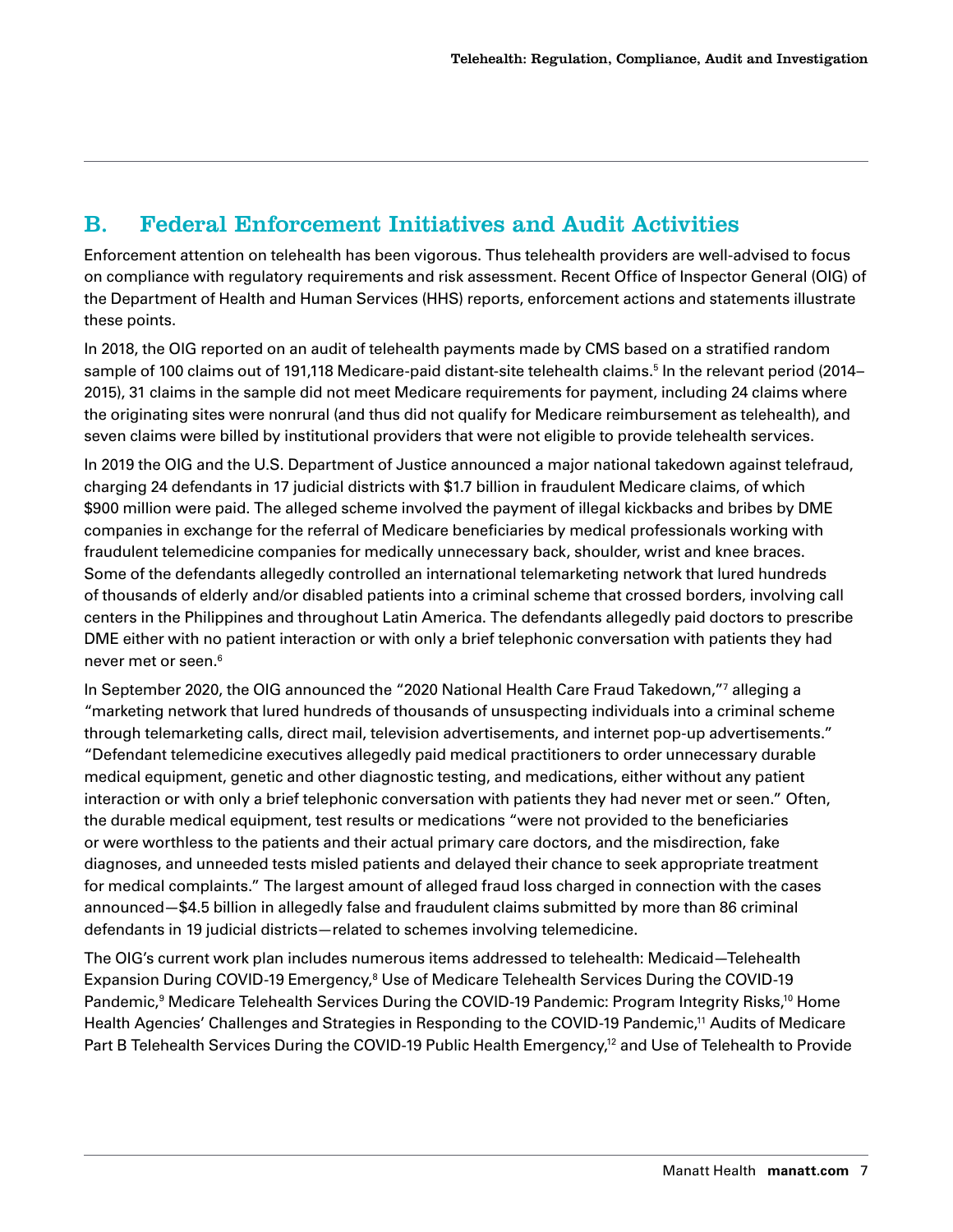## <span id="page-6-0"></span>B. Federal Enforcement Initiatives and Audit Activities

Enforcement attention on telehealth has been vigorous. Thus telehealth providers are well-advised to focus on compliance with regulatory requirements and risk assessment. Recent Office of Inspector General (OIG) of the Department of Health and Human Services (HHS) reports, enforcement actions and statements illustrate these points.

In 2018, the OIG reported on an audit of telehealth payments made by CMS based on a stratified random sample of 100 claims out of 191,118 Medicare-paid distant-site telehealth claims.[5](#page-23-0) In the relevant period (2014– 2015), 31 claims in the sample did not meet Medicare requirements for payment, including 24 claims where the originating sites were nonrural (and thus did not qualify for Medicare reimbursement as telehealth), and seven claims were billed by institutional providers that were not eligible to provide telehealth services.

In 2019 the OIG and the U.S. Department of Justice announced a major national takedown against telefraud, charging 24 defendants in 17 judicial districts with \$1.7 billion in fraudulent Medicare claims, of which \$900 million were paid. The alleged scheme involved the payment of illegal kickbacks and bribes by DME companies in exchange for the referral of Medicare beneficiaries by medical professionals working with fraudulent telemedicine companies for medically unnecessary back, shoulder, wrist and knee braces. Some of the defendants allegedly controlled an international telemarketing network that lured hundreds of thousands of elderly and/or disabled patients into a criminal scheme that crossed borders, involving call centers in the Philippines and throughout Latin America. The defendants allegedly paid doctors to prescribe DME either with no patient interaction or with only a brief telephonic conversation with patients they had never met or seen.[6](#page-23-0)

In September 2020, the OIG announced the "2020 National Health Care Fraud Takedown,"[7](#page-23-0) alleging a "marketing network that lured hundreds of thousands of unsuspecting individuals into a criminal scheme through telemarketing calls, direct mail, television advertisements, and internet pop-up advertisements." "Defendant telemedicine executives allegedly paid medical practitioners to order unnecessary durable medical equipment, genetic and other diagnostic testing, and medications, either without any patient interaction or with only a brief telephonic conversation with patients they had never met or seen." Often, the durable medical equipment, test results or medications "were not provided to the beneficiaries or were worthless to the patients and their actual primary care doctors, and the misdirection, fake diagnoses, and unneeded tests misled patients and delayed their chance to seek appropriate treatment for medical complaints." The largest amount of alleged fraud loss charged in connection with the cases announced—\$4.5 billion in allegedly false and fraudulent claims submitted by more than 86 criminal defendants in 19 judicial districts—related to schemes involving telemedicine.

The OIG's current work plan includes numerous items addressed to telehealth: Medicaid—Telehealth Expansion During COVID-19 Emergency,<sup>8</sup> Use of Medicare Telehealth Services During the COVID-19 Pandemic[,9](#page-23-0) Medicare Telehealth Services During the COVID-19 Pandemic: Program Integrity Risks[,10](#page-23-0) Home Health Agencies' Challenges and Strategies in Responding to the COVID-19 Pandemic,<sup>11</sup> Audits of Medicare Part B Telehealth Services During the COVID-19 Public Health Emergency,<sup>12</sup> and Use of Telehealth to Provide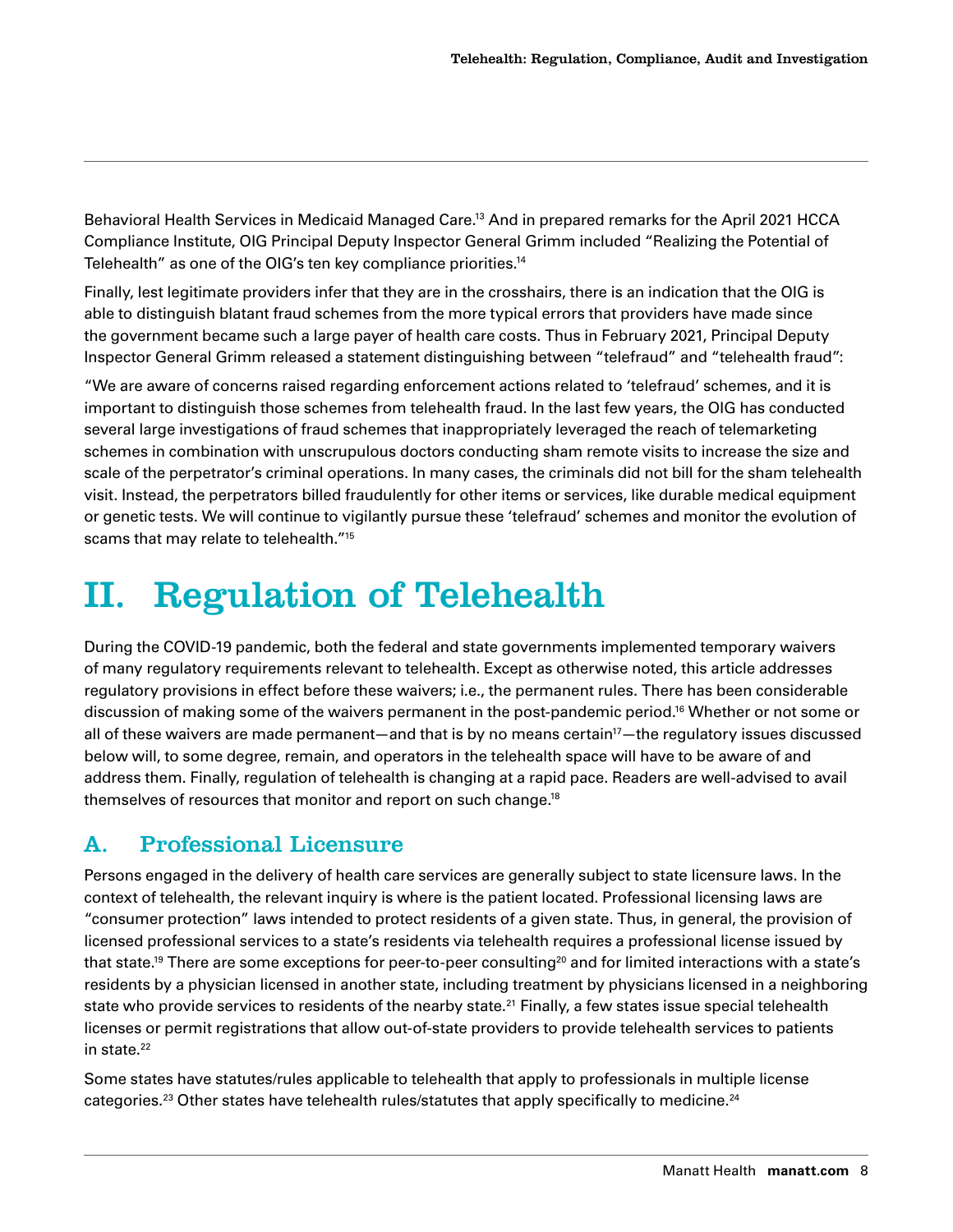<span id="page-7-0"></span>Behavioral Health Services in Medicaid Managed Care.<sup>13</sup> And in prepared remarks for the April 2021 HCCA Compliance Institute, OIG Principal Deputy Inspector General Grimm included "Realizing the Potential of Telehealth" as one of the OIG's ten key compliance priorities[.14](#page-23-0)

Finally, lest legitimate providers infer that they are in the crosshairs, there is an indication that the OIG is able to distinguish blatant fraud schemes from the more typical errors that providers have made since the government became such a large payer of health care costs. Thus in February 2021, Principal Deputy Inspector General Grimm released a statement distinguishing between "telefraud" and "telehealth fraud":

"We are aware of concerns raised regarding enforcement actions related to 'telefraud' schemes, and it is important to distinguish those schemes from telehealth fraud. In the last few years, the OIG has conducted several large investigations of fraud schemes that inappropriately leveraged the reach of telemarketing schemes in combination with unscrupulous doctors conducting sham remote visits to increase the size and scale of the perpetrator's criminal operations. In many cases, the criminals did not bill for the sham telehealth visit. Instead, the perpetrators billed fraudulently for other items or services, like durable medical equipment or genetic tests. We will continue to vigilantly pursue these 'telefraud' schemes and monitor the evolution of scams that may relate to telehealth.["15](#page-23-0)

## II. Regulation of Telehealth

During the COVID-19 pandemic, both the federal and state governments implemented temporary waivers of many regulatory requirements relevant to telehealth. Except as otherwise noted, this article addresses regulatory provisions in effect before these waivers; i.e., the permanent rules. There has been considerable discussion of making some of the waivers permanent in the post-pandemic period[.16](#page-23-0) Whether or not some or all of these waivers are made permanent—and that is by no means certain<sup>17</sup>—the regulatory issues discussed below will, to some degree, remain, and operators in the telehealth space will have to be aware of and address them. Finally, regulation of telehealth is changing at a rapid pace. Readers are well-advised to avail themselves of resources that monitor and report on such change[.18](#page-23-0)

## A. Professional Licensure

Persons engaged in the delivery of health care services are generally subject to state licensure laws. In the context of telehealth, the relevant inquiry is where is the patient located. Professional licensing laws are "consumer protection" laws intended to protect residents of a given state. Thus, in general, the provision of licensed professional services to a state's residents via telehealth requires a professional license issued by that state.<sup>19</sup> There are some exceptions for peer-to-peer consulting<sup>20</sup> and for limited interactions with a state's residents by a physician licensed in another state, including treatment by physicians licensed in a neighboring state who provide services to residents of the nearby state.<sup>21</sup> Finally, a few states issue special telehealth licenses or permit registrations that allow out-of-state providers to provide telehealth services to patients in state.<sup>22</sup>

Some states have statutes/rules applicable to telehealth that apply to professionals in multiple license categories.<sup>[23](#page-24-0)</sup> Other states have telehealth rules/statutes that apply specifically to medicine.<sup>[24](#page-24-0)</sup>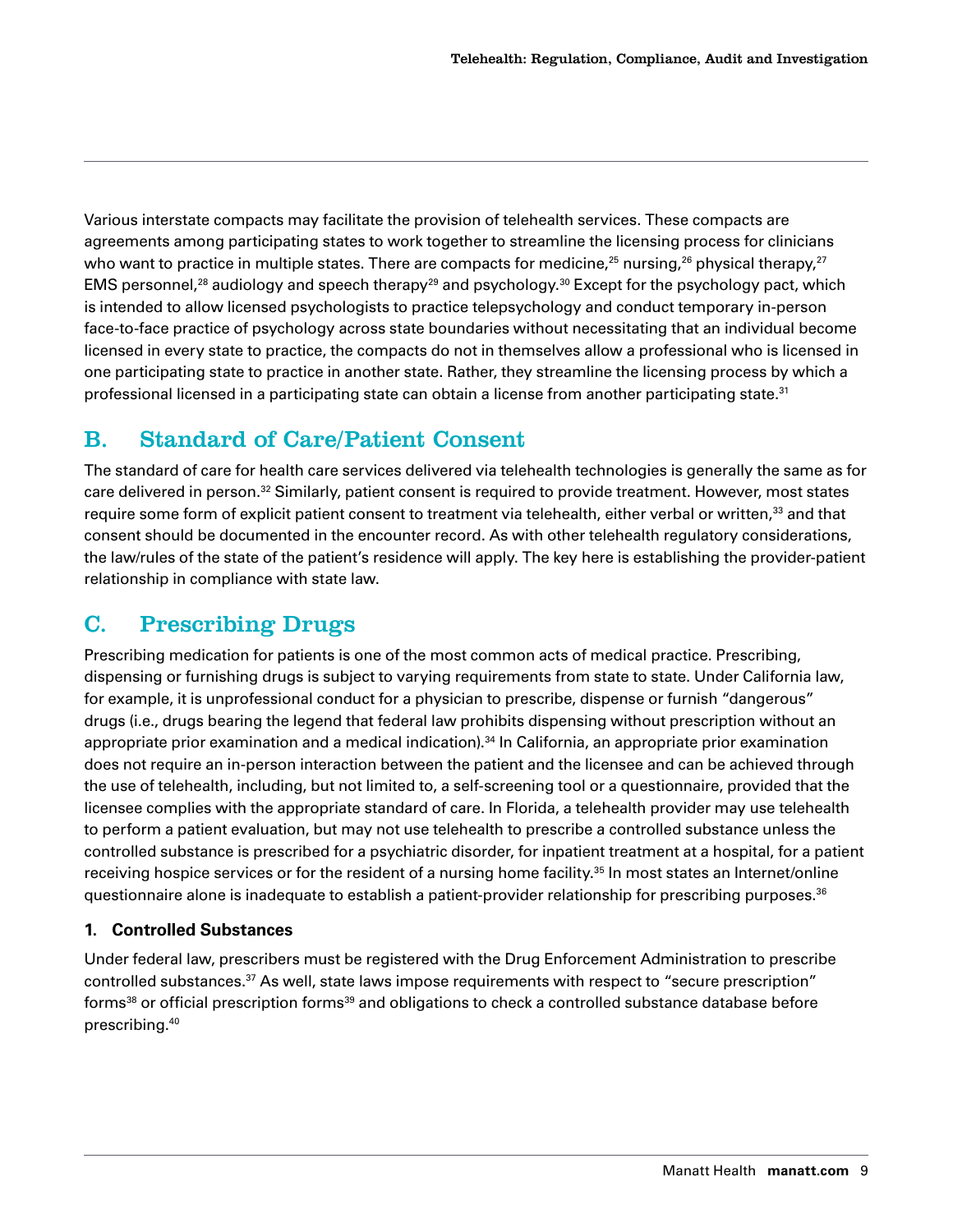<span id="page-8-0"></span>Various interstate compacts may facilitate the provision of telehealth services. These compacts are agreements among participating states to work together to streamline the licensing process for clinicians who want to practice in multiple states. There are compacts for medicine,<sup>25</sup> nursing,<sup>26</sup> physical therapy,<sup>[27](#page-24-0)</sup> EMS personnel,<sup>28</sup> audiology and speech therapy<sup>29</sup> and psychology.<sup>[30](#page-24-0)</sup> Except for the psychology pact, which is intended to allow licensed psychologists to practice telepsychology and conduct temporary in-person face-to-face practice of psychology across state boundaries without necessitating that an individual become licensed in every state to practice, the compacts do not in themselves allow a professional who is licensed in one participating state to practice in another state. Rather, they streamline the licensing process by which a professional licensed in a participating state can obtain a license from another participating state.<sup>[31](#page-24-0)</sup>

## B. Standard of Care/Patient Consent

The standard of care for health care services delivered via telehealth technologies is generally the same as for care delivered in person.[32](#page-24-0) Similarly, patient consent is required to provide treatment. However, most states require some form of explicit patient consent to treatment via telehealth, either verbal or written,<sup>[33](#page-24-0)</sup> and that consent should be documented in the encounter record. As with other telehealth regulatory considerations, the law/rules of the state of the patient's residence will apply. The key here is establishing the provider-patient relationship in compliance with state law.

## C. Prescribing Drugs

Prescribing medication for patients is one of the most common acts of medical practice. Prescribing, dispensing or furnishing drugs is subject to varying requirements from state to state. Under California law, for example, it is unprofessional conduct for a physician to prescribe, dispense or furnish "dangerous" drugs (i.e., drugs bearing the legend that federal law prohibits dispensing without prescription without an appropriate prior examination and a medical indication).<sup>[34](#page-24-0)</sup> In California, an appropriate prior examination does not require an in-person interaction between the patient and the licensee and can be achieved through the use of telehealth, including, but not limited to, a self-screening tool or a questionnaire, provided that the licensee complies with the appropriate standard of care. In Florida, a telehealth provider may use telehealth to perform a patient evaluation, but may not use telehealth to prescribe a controlled substance unless the controlled substance is prescribed for a psychiatric disorder, for inpatient treatment at a hospital, for a patient receiving hospice services or for the resident of a nursing home facility.<sup>[35](#page-24-0)</sup> In most states an Internet/online questionnaire alone is inadequate to establish a patient-provider relationship for prescribing purposes.<sup>[36](#page-24-0)</sup>

#### **1. Controlled Substances**

Under federal law, prescribers must be registered with the Drug Enforcement Administration to prescribe controlled substances[.37](#page-24-0) As well, state laws impose requirements with respect to "secure prescription" forms<sup>38</sup> or official prescription forms<sup>39</sup> and obligations to check a controlled substance database before prescribing.[40](#page-25-0)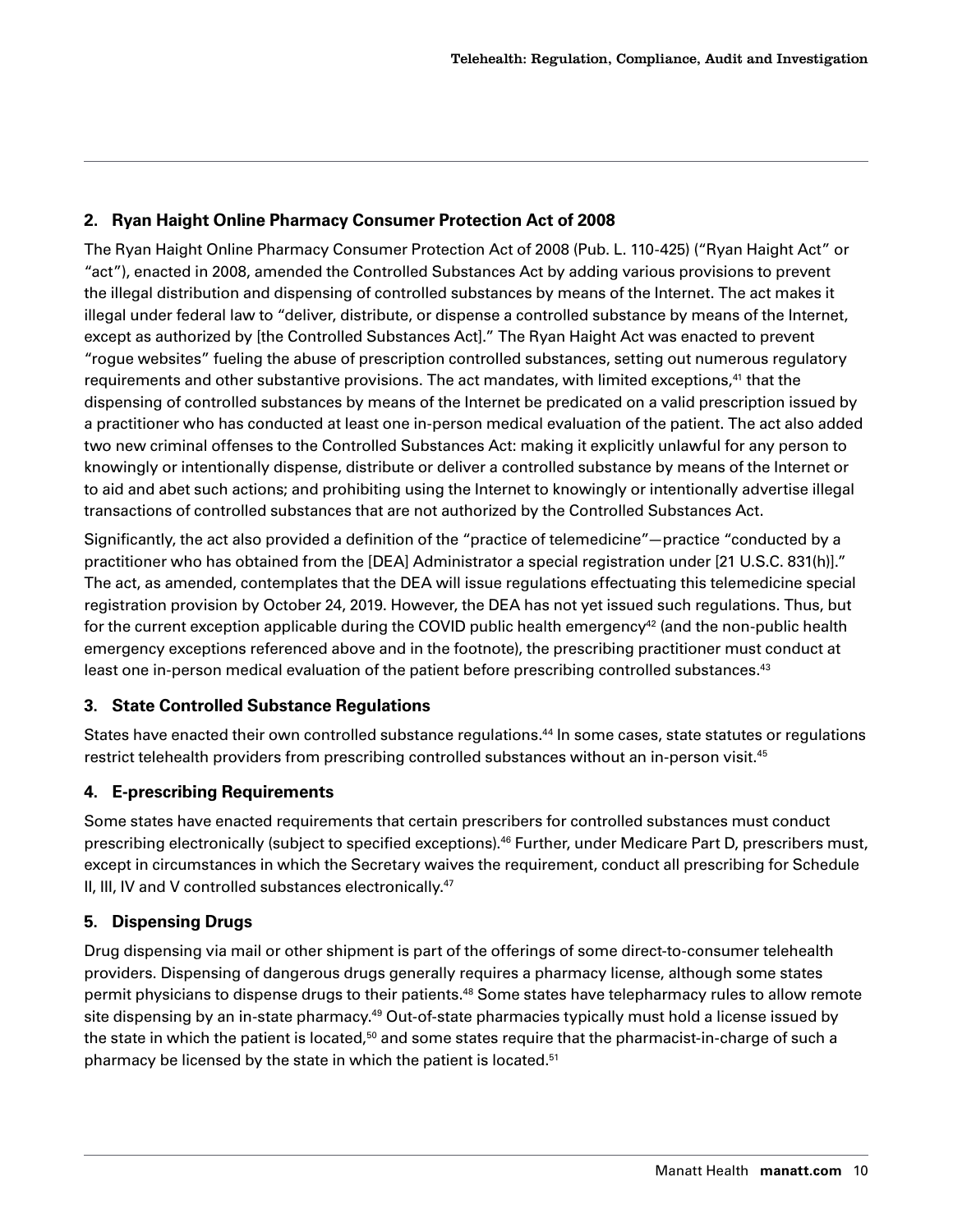#### <span id="page-9-0"></span>**2. Ryan Haight Online Pharmacy Consumer Protection Act of 2008**

The Ryan Haight Online Pharmacy Consumer Protection Act of 2008 (Pub. L. 110-425) ("Ryan Haight Act" or "act"), enacted in 2008, amended the Controlled Substances Act by adding various provisions to prevent the illegal distribution and dispensing of controlled substances by means of the Internet. The act makes it illegal under federal law to "deliver, distribute, or dispense a controlled substance by means of the Internet, except as authorized by [the Controlled Substances Act]." The Ryan Haight Act was enacted to prevent "rogue websites" fueling the abuse of prescription controlled substances, setting out numerous regulatory requirements and other substantive provisions. The act mandates, with limited exceptions,<sup>[41](#page-25-0)</sup> that the dispensing of controlled substances by means of the Internet be predicated on a valid prescription issued by a practitioner who has conducted at least one in-person medical evaluation of the patient. The act also added two new criminal offenses to the Controlled Substances Act: making it explicitly unlawful for any person to knowingly or intentionally dispense, distribute or deliver a controlled substance by means of the Internet or to aid and abet such actions; and prohibiting using the Internet to knowingly or intentionally advertise illegal transactions of controlled substances that are not authorized by the Controlled Substances Act.

Significantly, the act also provided a definition of the "practice of telemedicine"—practice "conducted by a practitioner who has obtained from the [DEA] Administrator a special registration under [21 U.S.C. 831(h)]." The act, as amended, contemplates that the DEA will issue regulations effectuating this telemedicine special registration provision by October 24, 2019. However, the DEA has not yet issued such regulations. Thus, but for the current exception applicable during the COVID public health emergency<sup>42</sup> (and the non-public health emergency exceptions referenced above and in the footnote), the prescribing practitioner must conduct at least one in-person medical evaluation of the patient before prescribing controlled substances.<sup>[43](#page-25-0)</sup>

#### **3. State Controlled Substance Regulations**

States have enacted their own controlled substance regulations.[44](#page-25-0) In some cases, state statutes or regulations restrict telehealth providers from prescribing controlled substances without an in-person visit.[45](#page-25-0)

#### **4. E-prescribing Requirements**

Some states have enacted requirements that certain prescribers for controlled substances must conduct prescribing electronically (subject to specified exceptions).[46](#page-25-0) Further, under Medicare Part D, prescribers must, except in circumstances in which the Secretary waives the requirement, conduct all prescribing for Schedule II, III, IV and V controlled substances electronically.<sup>47</sup>

#### **5. Dispensing Drugs**

Drug dispensing via mail or other shipment is part of the offerings of some direct-to-consumer telehealth providers. Dispensing of dangerous drugs generally requires a pharmacy license, although some states permit physicians to dispense drugs to their patients.[48](#page-25-0) Some states have telepharmacy rules to allow remote site dispensing by an in-state pharmacy.<sup>49</sup> Out-of-state pharmacies typically must hold a license issued by the state in which the patient is located,<sup>[50](#page-25-0)</sup> and some states require that the pharmacist-in-charge of such a pharmacy be licensed by the state in which the patient is located.<sup>51</sup>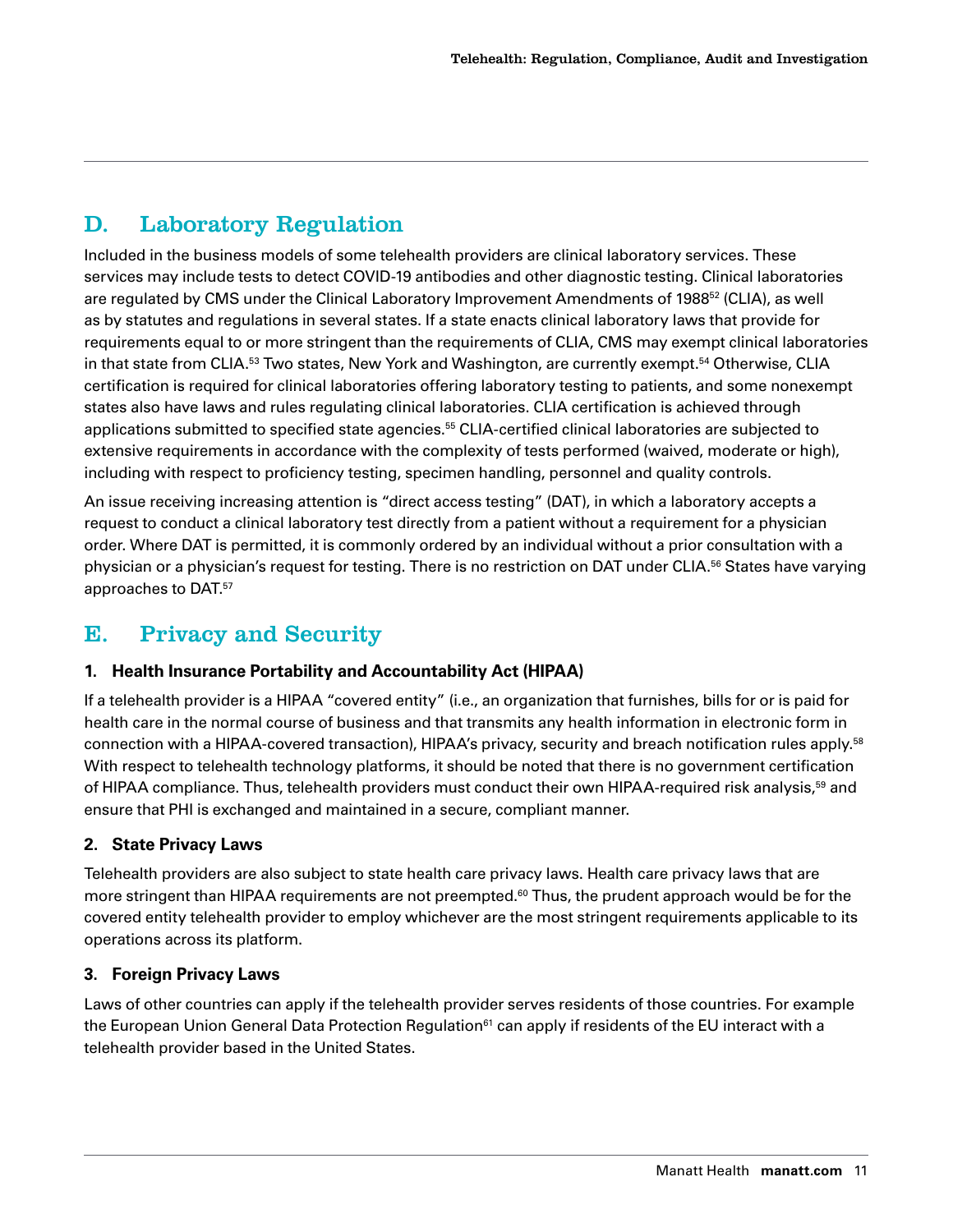## <span id="page-10-0"></span>D. Laboratory Regulation

Included in the business models of some telehealth providers are clinical laboratory services. These services may include tests to detect COVID-19 antibodies and other diagnostic testing. Clinical laboratories are regulated by CMS under the Clinical Laboratory Improvement Amendments of 1988<sup>[52](#page-25-0)</sup> (CLIA), as well as by statutes and regulations in several states. If a state enacts clinical laboratory laws that provide for requirements equal to or more stringent than the requirements of CLIA, CMS may exempt clinical laboratories in that state from CLIA.<sup>53</sup> Two states, New York and Washington, are currently exempt.<sup>54</sup> Otherwise, CLIA certification is required for clinical laboratories offering laboratory testing to patients, and some nonexempt states also have laws and rules regulating clinical laboratories. CLIA certification is achieved through applications submitted to specified state agencies[.55](#page-25-0) CLIA-certified clinical laboratories are subjected to extensive requirements in accordance with the complexity of tests performed (waived, moderate or high), including with respect to proficiency testing, specimen handling, personnel and quality controls.

An issue receiving increasing attention is "direct access testing" (DAT), in which a laboratory accepts a request to conduct a clinical laboratory test directly from a patient without a requirement for a physician order. Where DAT is permitted, it is commonly ordered by an individual without a prior consultation with a physician or a physician's request for testing. There is no restriction on DAT under CLIA.[56](#page-25-0) States have varying approaches to DAT[.57](#page-25-0)

## E. Privacy and Security

#### **1. Health Insurance Portability and Accountability Act (HIPAA)**

If a telehealth provider is a HIPAA "covered entity" (i.e., an organization that furnishes, bills for or is paid for health care in the normal course of business and that transmits any health information in electronic form in connection with a HIPAA-covered transaction), HIPAA's privacy, security and breach notification rules apply[.58](#page-26-0) With respect to telehealth technology platforms, it should be noted that there is no government certification of HIPAA compliance. Thus, telehealth providers must conduct their own HIPAA-required risk analysis,<sup>59</sup> and ensure that PHI is exchanged and maintained in a secure, compliant manner.

#### **2. State Privacy Laws**

Telehealth providers are also subject to state health care privacy laws. Health care privacy laws that are more stringent than HIPAA requirements are not preempted.<sup>[60](#page-26-0)</sup> Thus, the prudent approach would be for the covered entity telehealth provider to employ whichever are the most stringent requirements applicable to its operations across its platform.

#### **3. Foreign Privacy Laws**

Laws of other countries can apply if the telehealth provider serves residents of those countries. For example the European Union General Data Protection Regulation<sup>61</sup> can apply if residents of the EU interact with a telehealth provider based in the United States.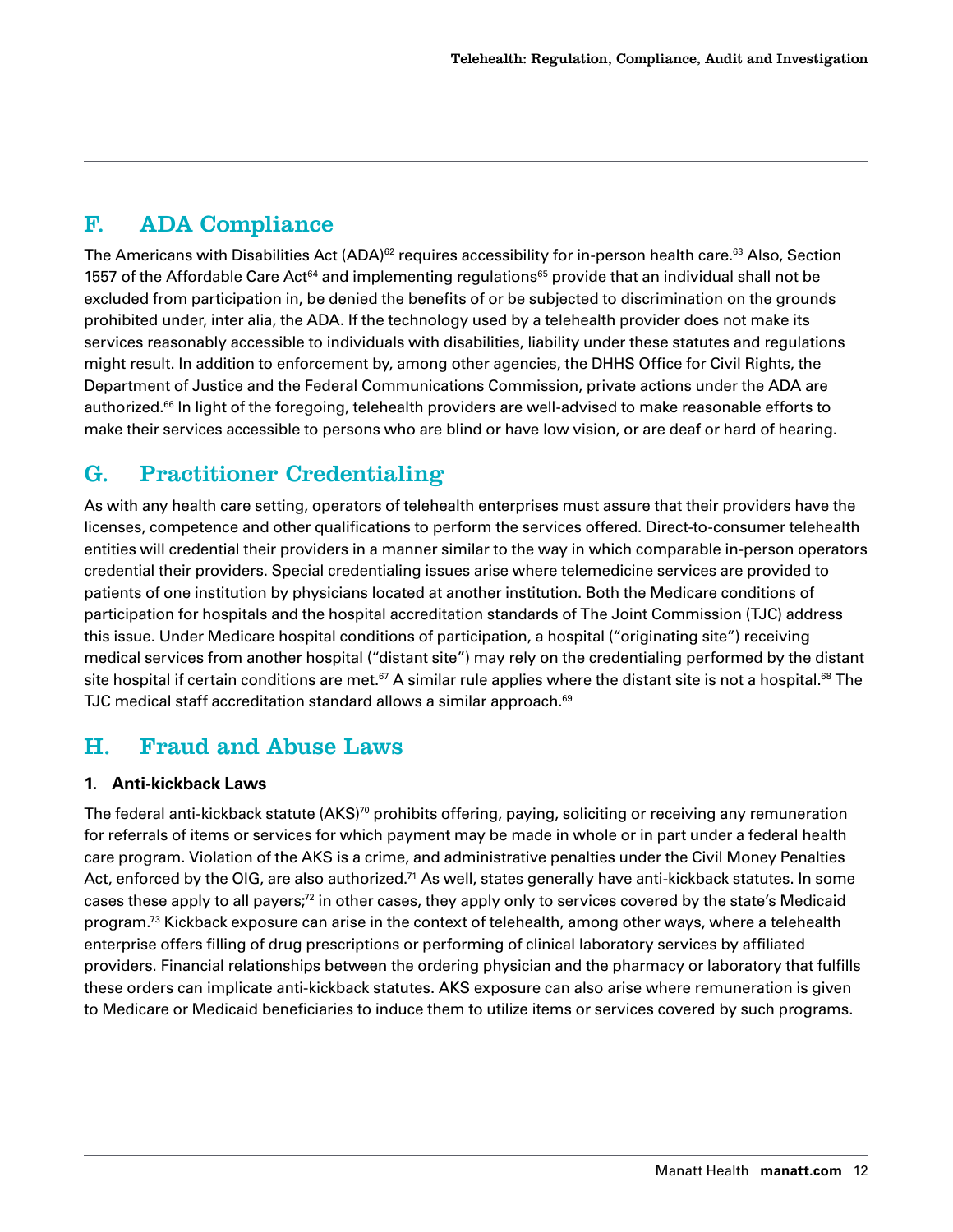## <span id="page-11-0"></span>F. ADA Compliance

The Americans with Disabilities Act (ADA)<sup>62</sup> requires accessibility for in-person health care.<sup>63</sup> Also, Section 1557 of the Affordable Care Act<sup>[64](#page-26-0)</sup> and implementing regulations<sup>[65](#page-26-0)</sup> provide that an individual shall not be excluded from participation in, be denied the benefits of or be subjected to discrimination on the grounds prohibited under, inter alia, the ADA. If the technology used by a telehealth provider does not make its services reasonably accessible to individuals with disabilities, liability under these statutes and regulations might result. In addition to enforcement by, among other agencies, the DHHS Office for Civil Rights, the Department of Justice and the Federal Communications Commission, private actions under the ADA are authorized.<sup>66</sup> In light of the foregoing, telehealth providers are well-advised to make reasonable efforts to make their services accessible to persons who are blind or have low vision, or are deaf or hard of hearing.

## G. Practitioner Credentialing

As with any health care setting, operators of telehealth enterprises must assure that their providers have the licenses, competence and other qualifications to perform the services offered. Direct-to-consumer telehealth entities will credential their providers in a manner similar to the way in which comparable in-person operators credential their providers. Special credentialing issues arise where telemedicine services are provided to patients of one institution by physicians located at another institution. Both the Medicare conditions of participation for hospitals and the hospital accreditation standards of The Joint Commission (TJC) address this issue. Under Medicare hospital conditions of participation, a hospital ("originating site") receiving medical services from another hospital ("distant site") may rely on the credentialing performed by the distant site hospital if certain conditions are met.<sup>67</sup> A similar rule applies where the distant site is not a hospital.<sup>[68](#page-26-0)</sup> The TJC medical staff accreditation standard allows a similar approach.<sup>69</sup>

## H. Fraud and Abuse Laws

#### **1. Anti-kickback Laws**

The federal anti-kickback statute (AKS)<sup>70</sup> prohibits offering, paying, soliciting or receiving any remuneration for referrals of items or services for which payment may be made in whole or in part under a federal health care program. Violation of the AKS is a crime, and administrative penalties under the Civil Money Penalties Act, enforced by the OIG, are also authorized.<sup>71</sup> As well, states generally have anti-kickback statutes. In some cases these apply to all payers[;72](#page-27-0) in other cases, they apply only to services covered by the state's Medicaid program.<sup>73</sup> Kickback exposure can arise in the context of telehealth, among other ways, where a telehealth enterprise offers filling of drug prescriptions or performing of clinical laboratory services by affiliated providers. Financial relationships between the ordering physician and the pharmacy or laboratory that fulfills these orders can implicate anti-kickback statutes. AKS exposure can also arise where remuneration is given to Medicare or Medicaid beneficiaries to induce them to utilize items or services covered by such programs.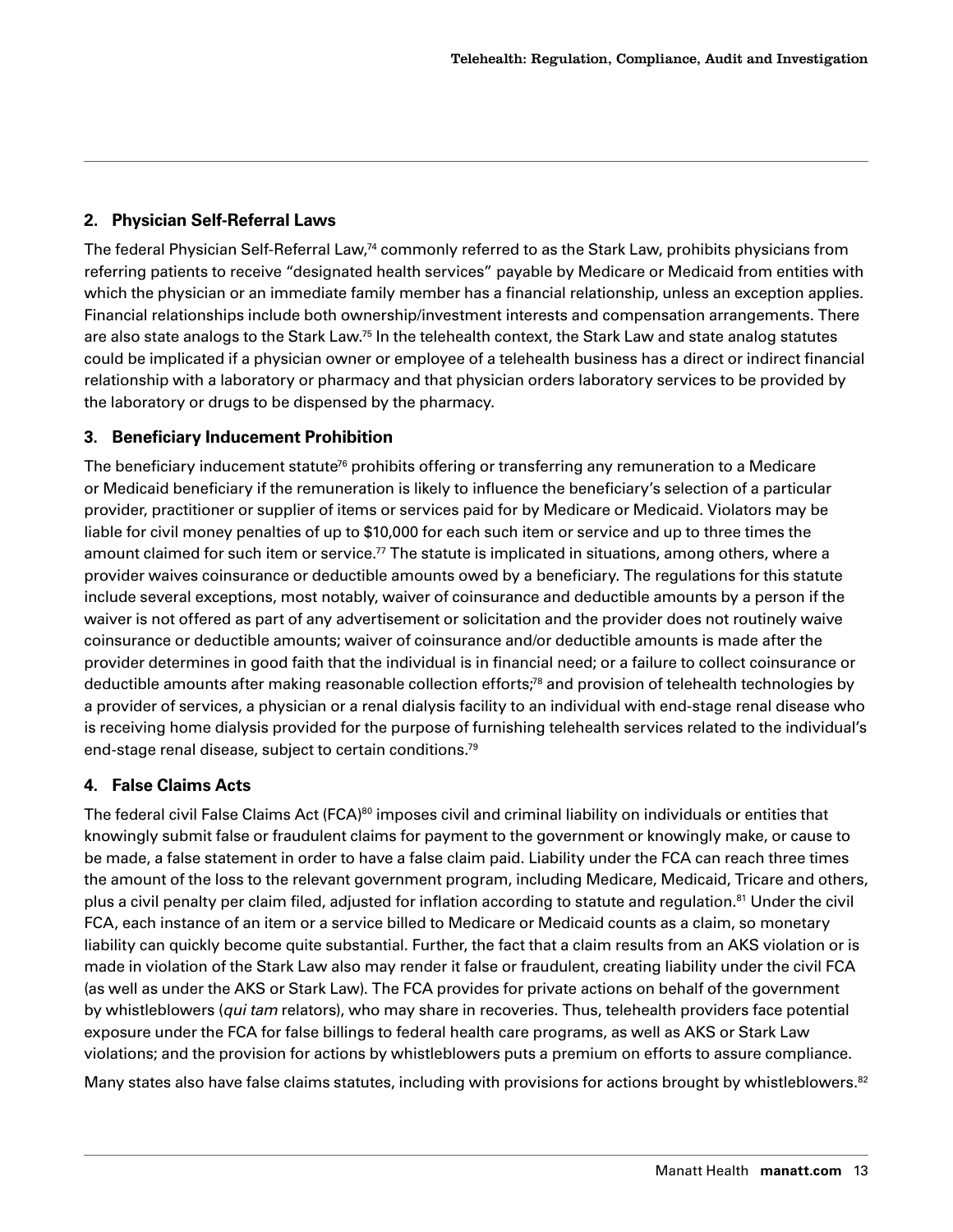#### <span id="page-12-0"></span>**2. Physician Self-Referral Laws**

The federal Physician Self-Referral Law,<sup>74</sup> commonly referred to as the Stark Law, prohibits physicians from referring patients to receive "designated health services" payable by Medicare or Medicaid from entities with which the physician or an immediate family member has a financial relationship, unless an exception applies. Financial relationships include both ownership/investment interests and compensation arrangements. There are also state analogs to the Stark Law[.75](#page-27-0) In the telehealth context, the Stark Law and state analog statutes could be implicated if a physician owner or employee of a telehealth business has a direct or indirect financial relationship with a laboratory or pharmacy and that physician orders laboratory services to be provided by the laboratory or drugs to be dispensed by the pharmacy.

#### **3. Beneficiary Inducement Prohibition**

The beneficiary inducement statute<sup>76</sup> prohibits offering or transferring any remuneration to a Medicare or Medicaid beneficiary if the remuneration is likely to influence the beneficiary's selection of a particular provider, practitioner or supplier of items or services paid for by Medicare or Medicaid. Violators may be liable for civil money penalties of up to \$10,000 for each such item or service and up to three times the amount claimed for such item or service.<sup>77</sup> The statute is implicated in situations, among others, where a provider waives coinsurance or deductible amounts owed by a beneficiary. The regulations for this statute include several exceptions, most notably, waiver of coinsurance and deductible amounts by a person if the waiver is not offered as part of any advertisement or solicitation and the provider does not routinely waive coinsurance or deductible amounts; waiver of coinsurance and/or deductible amounts is made after the provider determines in good faith that the individual is in financial need; or a failure to collect coinsurance or deductible amounts after making reasonable collection efforts;<sup>78</sup> and provision of telehealth technologies by a provider of services, a physician or a renal dialysis facility to an individual with end-stage renal disease who is receiving home dialysis provided for the purpose of furnishing telehealth services related to the individual's end-stage renal disease, subject to certain conditions[.79](#page-27-0)

#### **4. False Claims Acts**

The federal civil False Claims Act (FCA)<sup>[80](#page-27-0)</sup> imposes civil and criminal liability on individuals or entities that knowingly submit false or fraudulent claims for payment to the government or knowingly make, or cause to be made, a false statement in order to have a false claim paid. Liability under the FCA can reach three times the amount of the loss to the relevant government program, including Medicare, Medicaid, Tricare and others, plus a civil penalty per claim filed, adjusted for inflation according to statute and regulation[.81](#page-27-0) Under the civil FCA, each instance of an item or a service billed to Medicare or Medicaid counts as a claim, so monetary liability can quickly become quite substantial. Further, the fact that a claim results from an AKS violation or is made in violation of the Stark Law also may render it false or fraudulent, creating liability under the civil FCA (as well as under the AKS or Stark Law). The FCA provides for private actions on behalf of the government by whistleblowers (*qui tam* relators), who may share in recoveries. Thus, telehealth providers face potential exposure under the FCA for false billings to federal health care programs, as well as AKS or Stark Law violations; and the provision for actions by whistleblowers puts a premium on efforts to assure compliance.

Many states also have false claims statutes, including with provisions for actions brought by whistleblowers.<sup>82</sup>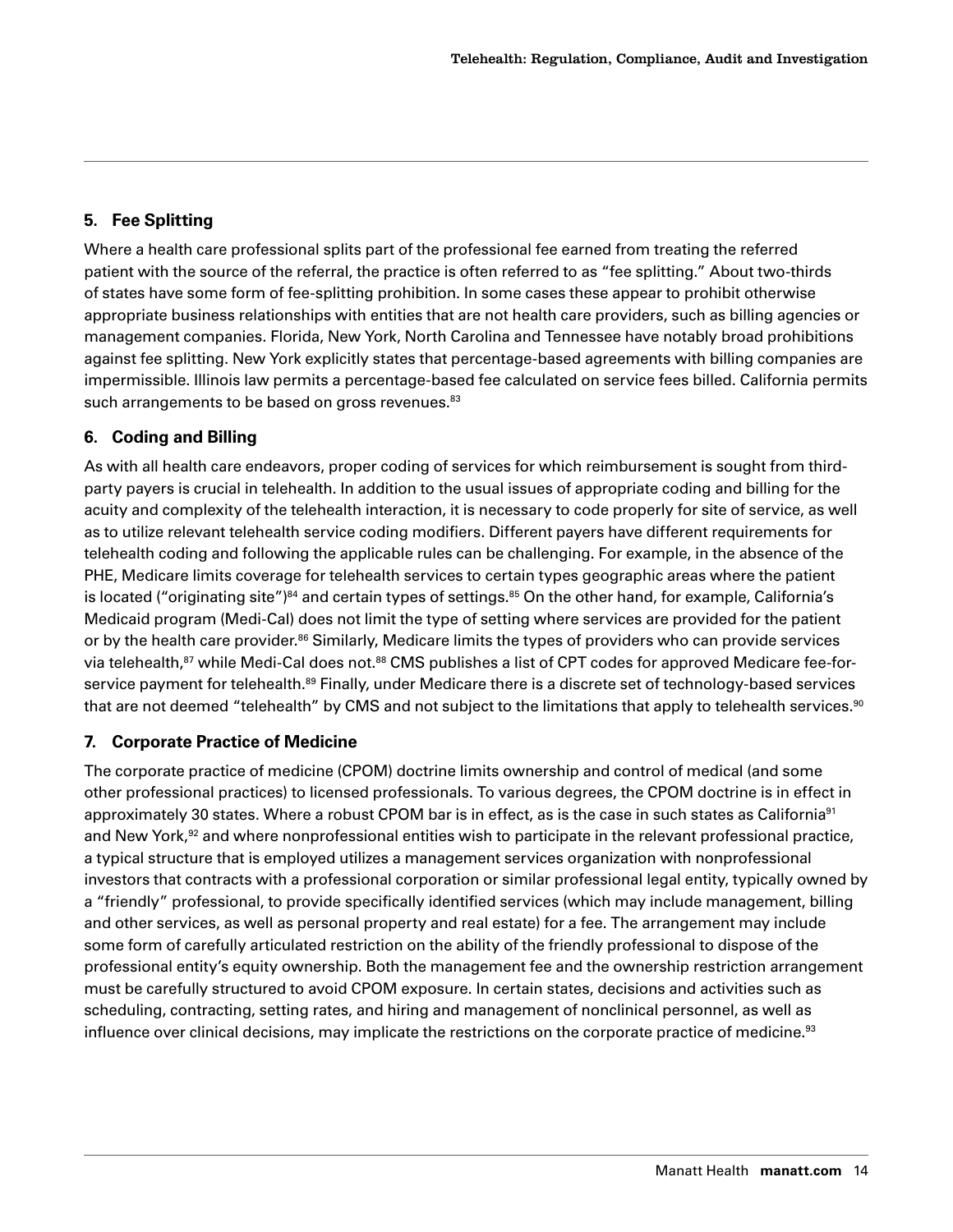#### <span id="page-13-0"></span>**5. Fee Splitting**

Where a health care professional splits part of the professional fee earned from treating the referred patient with the source of the referral, the practice is often referred to as "fee splitting." About two-thirds of states have some form of fee-splitting prohibition. In some cases these appear to prohibit otherwise appropriate business relationships with entities that are not health care providers, such as billing agencies or management companies. Florida, New York, North Carolina and Tennessee have notably broad prohibitions against fee splitting. New York explicitly states that percentage-based agreements with billing companies are impermissible. Illinois law permits a percentage-based fee calculated on service fees billed. California permits such arrangements to be based on gross revenues.<sup>83</sup>

#### **6. Coding and Billing**

As with all health care endeavors, proper coding of services for which reimbursement is sought from thirdparty payers is crucial in telehealth. In addition to the usual issues of appropriate coding and billing for the acuity and complexity of the telehealth interaction, it is necessary to code properly for site of service, as well as to utilize relevant telehealth service coding modifiers. Different payers have different requirements for telehealth coding and following the applicable rules can be challenging. For example, in the absence of the PHE, Medicare limits coverage for telehealth services to certain types geographic areas where the patient is located ("originating site")<sup>[84](#page-27-0)</sup> and certain types of settings.<sup>85</sup> On the other hand, for example, California's Medicaid program (Medi-Cal) does not limit the type of setting where services are provided for the patient or by the health care provider.<sup>[86](#page-27-0)</sup> Similarly, Medicare limits the types of providers who can provide services via telehealth,<sup>87</sup> while Medi-Cal does not.<sup>[88](#page-27-0)</sup> CMS publishes a list of CPT codes for approved Medicare fee-forservice payment for telehealth.<sup>89</sup> Finally, under Medicare there is a discrete set of technology-based services that are not deemed "telehealth" by CMS and not subject to the limitations that apply to telehealth services.<sup>90</sup>

#### **7. Corporate Practice of Medicine**

The corporate practice of medicine (CPOM) doctrine limits ownership and control of medical (and some other professional practices) to licensed professionals. To various degrees, the CPOM doctrine is in effect in approximately 30 states. Where a robust CPOM bar is in effect, as is the case in such states as California<sup>91</sup> and New York,<sup>92</sup> and where nonprofessional entities wish to participate in the relevant professional practice, a typical structure that is employed utilizes a management services organization with nonprofessional investors that contracts with a professional corporation or similar professional legal entity, typically owned by a "friendly" professional, to provide specifically identified services (which may include management, billing and other services, as well as personal property and real estate) for a fee. The arrangement may include some form of carefully articulated restriction on the ability of the friendly professional to dispose of the professional entity's equity ownership. Both the management fee and the ownership restriction arrangement must be carefully structured to avoid CPOM exposure. In certain states, decisions and activities such as scheduling, contracting, setting rates, and hiring and management of nonclinical personnel, as well as influence over clinical decisions, may implicate the restrictions on the corporate practice of medicine.<sup>[93](#page-28-0)</sup>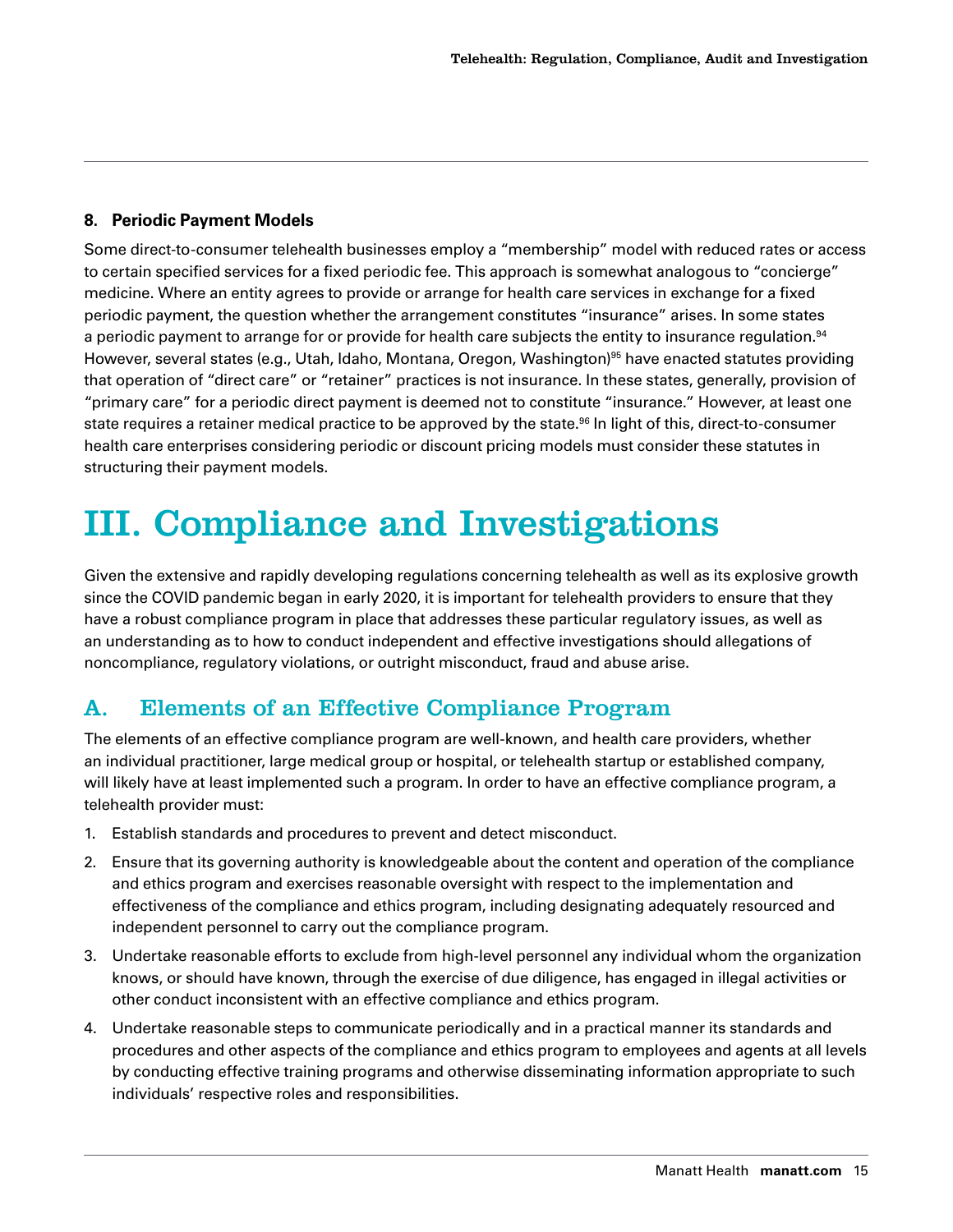#### <span id="page-14-0"></span>**8. Periodic Payment Models**

Some direct-to-consumer telehealth businesses employ a "membership" model with reduced rates or access to certain specified services for a fixed periodic fee. This approach is somewhat analogous to "concierge" medicine. Where an entity agrees to provide or arrange for health care services in exchange for a fixed periodic payment, the question whether the arrangement constitutes "insurance" arises. In some states a periodic payment to arrange for or provide for health care subjects the entity to insurance regulation.<sup>[94](#page-28-0)</sup> However, several states (e.g., Utah, Idaho, Montana, Oregon, Washington)<sup>[95](#page-28-0)</sup> have enacted statutes providing that operation of "direct care" or "retainer" practices is not insurance. In these states, generally, provision of "primary care" for a periodic direct payment is deemed not to constitute "insurance." However, at least one state requires a retainer medical practice to be approved by the state.<sup>96</sup> In light of this, direct-to-consumer health care enterprises considering periodic or discount pricing models must consider these statutes in structuring their payment models.

## III. Compliance and Investigations

Given the extensive and rapidly developing regulations concerning telehealth as well as its explosive growth since the COVID pandemic began in early 2020, it is important for telehealth providers to ensure that they have a robust compliance program in place that addresses these particular regulatory issues, as well as an understanding as to how to conduct independent and effective investigations should allegations of noncompliance, regulatory violations, or outright misconduct, fraud and abuse arise.

## A. Elements of an Effective Compliance Program

The elements of an effective compliance program are well-known, and health care providers, whether an individual practitioner, large medical group or hospital, or telehealth startup or established company, will likely have at least implemented such a program. In order to have an effective compliance program, a telehealth provider must:

- 1. Establish standards and procedures to prevent and detect misconduct.
- 2. Ensure that its governing authority is knowledgeable about the content and operation of the compliance and ethics program and exercises reasonable oversight with respect to the implementation and effectiveness of the compliance and ethics program, including designating adequately resourced and independent personnel to carry out the compliance program.
- 3. Undertake reasonable efforts to exclude from high-level personnel any individual whom the organization knows, or should have known, through the exercise of due diligence, has engaged in illegal activities or other conduct inconsistent with an effective compliance and ethics program.
- 4. Undertake reasonable steps to communicate periodically and in a practical manner its standards and procedures and other aspects of the compliance and ethics program to employees and agents at all levels by conducting effective training programs and otherwise disseminating information appropriate to such individuals' respective roles and responsibilities.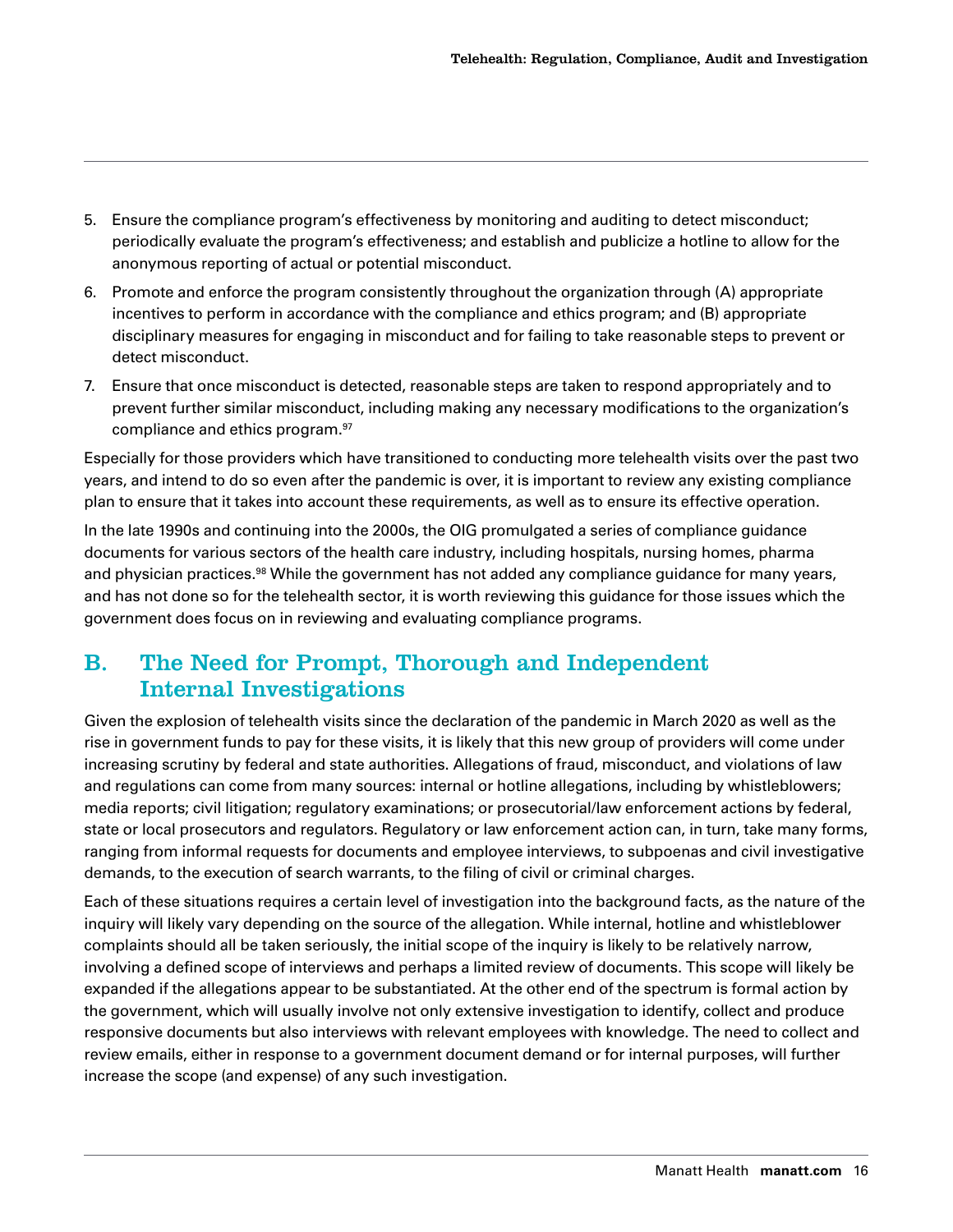- <span id="page-15-0"></span>5. Ensure the compliance program's effectiveness by monitoring and auditing to detect misconduct; periodically evaluate the program's effectiveness; and establish and publicize a hotline to allow for the anonymous reporting of actual or potential misconduct.
- 6. Promote and enforce the program consistently throughout the organization through (A) appropriate incentives to perform in accordance with the compliance and ethics program; and (B) appropriate disciplinary measures for engaging in misconduct and for failing to take reasonable steps to prevent or detect misconduct.
- 7. Ensure that once misconduct is detected, reasonable steps are taken to respond appropriately and to prevent further similar misconduct, including making any necessary modifications to the organization's compliance and ethics program[.97](#page-28-0)

Especially for those providers which have transitioned to conducting more telehealth visits over the past two years, and intend to do so even after the pandemic is over, it is important to review any existing compliance plan to ensure that it takes into account these requirements, as well as to ensure its effective operation.

In the late 1990s and continuing into the 2000s, the OIG promulgated a series of compliance guidance documents for various sectors of the health care industry, including hospitals, nursing homes, pharma and physician practices.<sup>[98](#page-28-0)</sup> While the government has not added any compliance guidance for many years, and has not done so for the telehealth sector, it is worth reviewing this guidance for those issues which the government does focus on in reviewing and evaluating compliance programs.

## B. The Need for Prompt, Thorough and Independent Internal Investigations

Given the explosion of telehealth visits since the declaration of the pandemic in March 2020 as well as the rise in government funds to pay for these visits, it is likely that this new group of providers will come under increasing scrutiny by federal and state authorities. Allegations of fraud, misconduct, and violations of law and regulations can come from many sources: internal or hotline allegations, including by whistleblowers; media reports; civil litigation; regulatory examinations; or prosecutorial/law enforcement actions by federal, state or local prosecutors and regulators. Regulatory or law enforcement action can, in turn, take many forms, ranging from informal requests for documents and employee interviews, to subpoenas and civil investigative demands, to the execution of search warrants, to the filing of civil or criminal charges.

Each of these situations requires a certain level of investigation into the background facts, as the nature of the inquiry will likely vary depending on the source of the allegation. While internal, hotline and whistleblower complaints should all be taken seriously, the initial scope of the inquiry is likely to be relatively narrow, involving a defined scope of interviews and perhaps a limited review of documents. This scope will likely be expanded if the allegations appear to be substantiated. At the other end of the spectrum is formal action by the government, which will usually involve not only extensive investigation to identify, collect and produce responsive documents but also interviews with relevant employees with knowledge. The need to collect and review emails, either in response to a government document demand or for internal purposes, will further increase the scope (and expense) of any such investigation.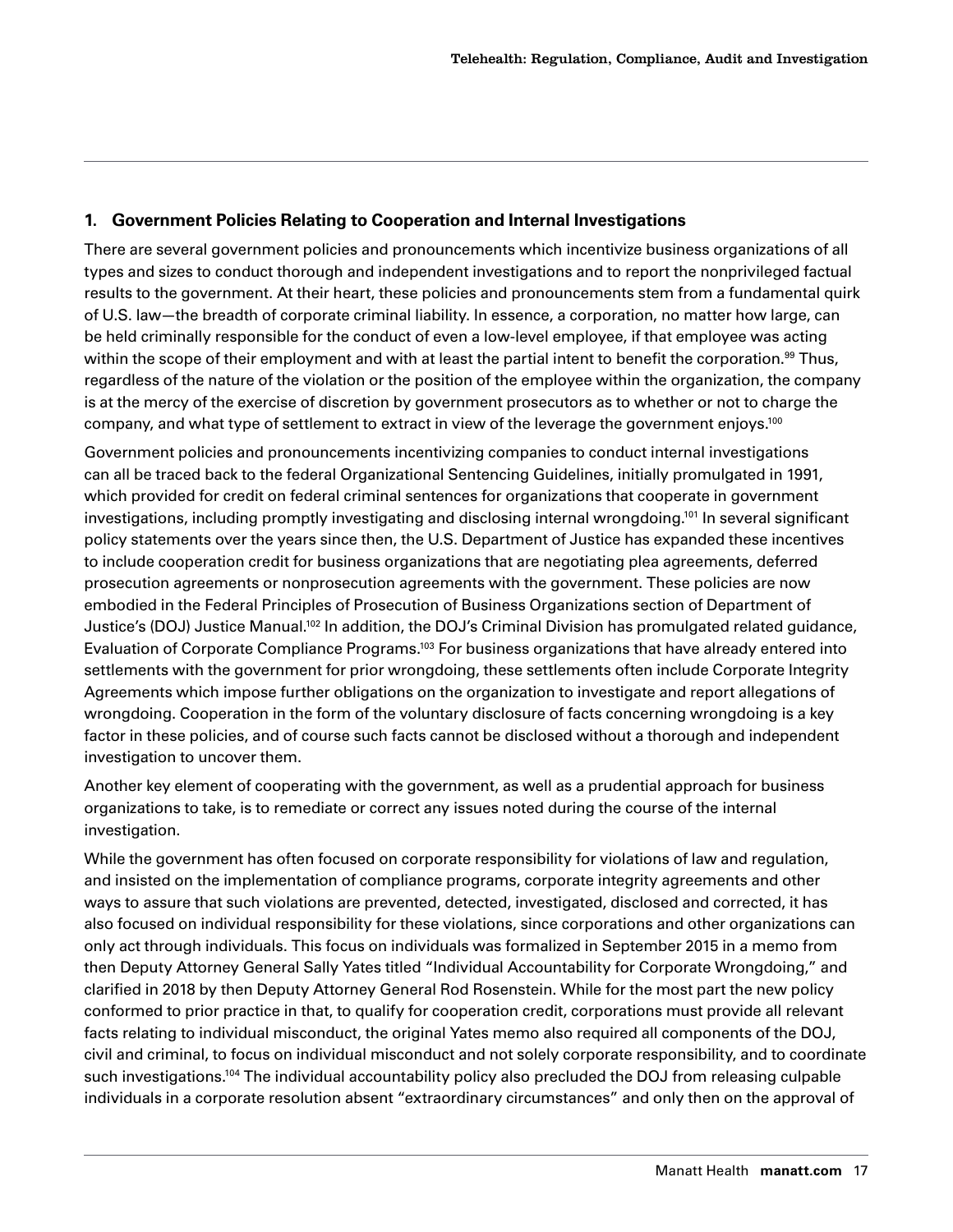#### <span id="page-16-0"></span>**1. Government Policies Relating to Cooperation and Internal Investigations**

There are several government policies and pronouncements which incentivize business organizations of all types and sizes to conduct thorough and independent investigations and to report the nonprivileged factual results to the government. At their heart, these policies and pronouncements stem from a fundamental quirk of U.S. law—the breadth of corporate criminal liability. In essence, a corporation, no matter how large, can be held criminally responsible for the conduct of even a low-level employee, if that employee was acting within the scope of their employment and with at least the partial intent to benefit the corporation.<sup>99</sup> Thus, regardless of the nature of the violation or the position of the employee within the organization, the company is at the mercy of the exercise of discretion by government prosecutors as to whether or not to charge the company, and what type of settlement to extract in view of the leverage the government enjoys.<sup>100</sup>

Government policies and pronouncements incentivizing companies to conduct internal investigations can all be traced back to the federal Organizational Sentencing Guidelines, initially promulgated in 1991, which provided for credit on federal criminal sentences for organizations that cooperate in government investigations, including promptly investigating and disclosing internal wrongdoing.<sup>101</sup> In several significant policy statements over the years since then, the U.S. Department of Justice has expanded these incentives to include cooperation credit for business organizations that are negotiating plea agreements, deferred prosecution agreements or nonprosecution agreements with the government. These policies are now embodied in the Federal Principles of Prosecution of Business Organizations section of Department of Justice's (DOJ) Justice Manual[.102](#page-28-0) In addition, the DOJ's Criminal Division has promulgated related guidance, Evaluation of Corporate Compliance Programs.<sup>103</sup> For business organizations that have already entered into settlements with the government for prior wrongdoing, these settlements often include Corporate Integrity Agreements which impose further obligations on the organization to investigate and report allegations of wrongdoing. Cooperation in the form of the voluntary disclosure of facts concerning wrongdoing is a key factor in these policies, and of course such facts cannot be disclosed without a thorough and independent investigation to uncover them.

Another key element of cooperating with the government, as well as a prudential approach for business organizations to take, is to remediate or correct any issues noted during the course of the internal investigation.

While the government has often focused on corporate responsibility for violations of law and regulation, and insisted on the implementation of compliance programs, corporate integrity agreements and other ways to assure that such violations are prevented, detected, investigated, disclosed and corrected, it has also focused on individual responsibility for these violations, since corporations and other organizations can only act through individuals. This focus on individuals was formalized in September 2015 in a memo from then Deputy Attorney General Sally Yates titled "Individual Accountability for Corporate Wrongdoing," and clarified in 2018 by then Deputy Attorney General Rod Rosenstein. While for the most part the new policy conformed to prior practice in that, to qualify for cooperation credit, corporations must provide all relevant facts relating to individual misconduct, the original Yates memo also required all components of the DOJ, civil and criminal, to focus on individual misconduct and not solely corporate responsibility, and to coordinate such investigations.<sup>104</sup> The individual accountability policy also precluded the DOJ from releasing culpable individuals in a corporate resolution absent "extraordinary circumstances" and only then on the approval of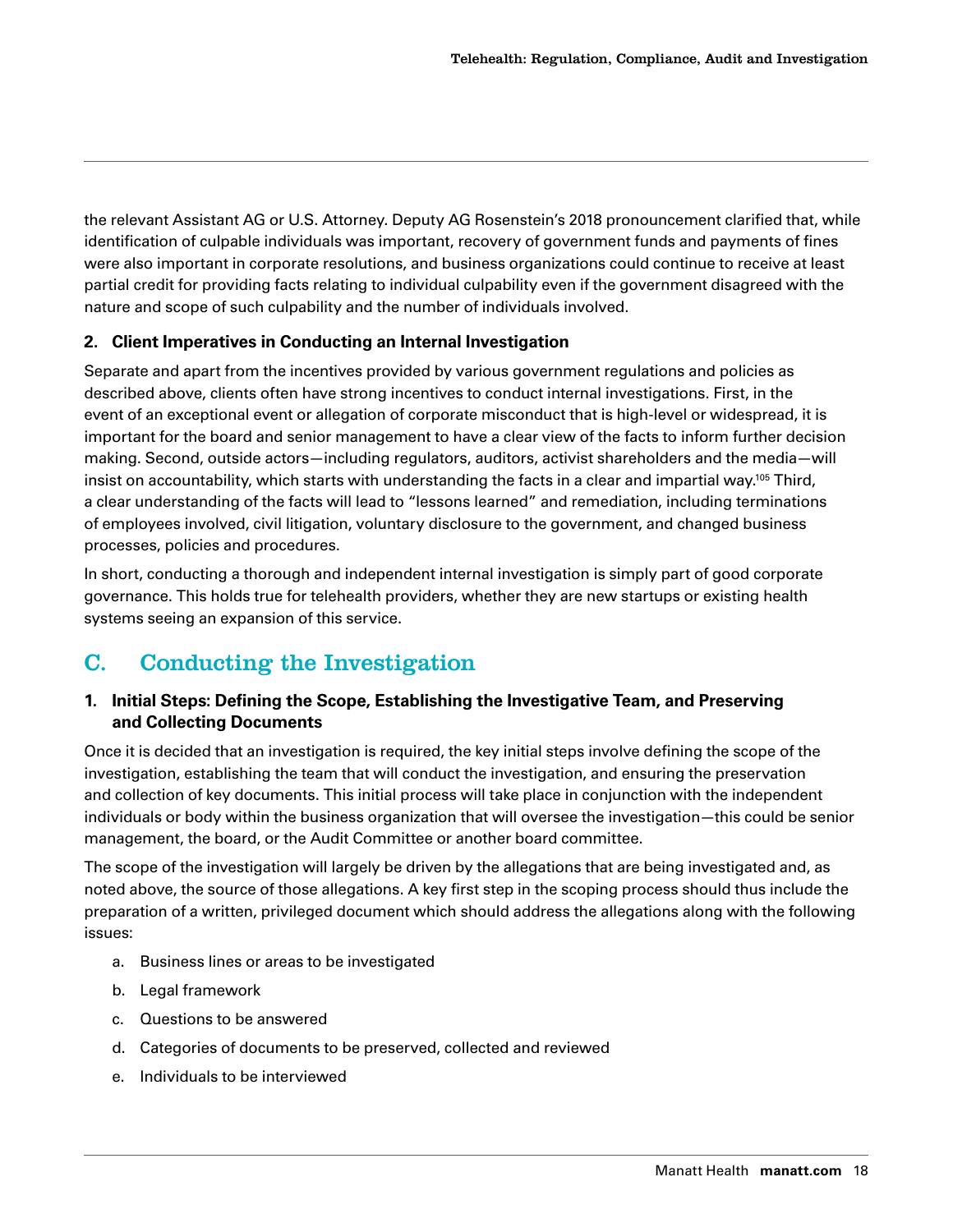<span id="page-17-0"></span>the relevant Assistant AG or U.S. Attorney. Deputy AG Rosenstein's 2018 pronouncement clarified that, while identification of culpable individuals was important, recovery of government funds and payments of fines were also important in corporate resolutions, and business organizations could continue to receive at least partial credit for providing facts relating to individual culpability even if the government disagreed with the nature and scope of such culpability and the number of individuals involved.

#### **2. Client Imperatives in Conducting an Internal Investigation**

Separate and apart from the incentives provided by various government regulations and policies as described above, clients often have strong incentives to conduct internal investigations. First, in the event of an exceptional event or allegation of corporate misconduct that is high-level or widespread, it is important for the board and senior management to have a clear view of the facts to inform further decision making. Second, outside actors—including regulators, auditors, activist shareholders and the media—will insist on accountability, which starts with understanding the facts in a clear and impartial way[.105](#page-28-0) Third, a clear understanding of the facts will lead to "lessons learned" and remediation, including terminations of employees involved, civil litigation, voluntary disclosure to the government, and changed business processes, policies and procedures.

In short, conducting a thorough and independent internal investigation is simply part of good corporate governance. This holds true for telehealth providers, whether they are new startups or existing health systems seeing an expansion of this service.

## C. Conducting the Investigation

#### **1. Initial Steps: Defining the Scope, Establishing the Investigative Team, and Preserving and Collecting Documents**

Once it is decided that an investigation is required, the key initial steps involve defining the scope of the investigation, establishing the team that will conduct the investigation, and ensuring the preservation and collection of key documents. This initial process will take place in conjunction with the independent individuals or body within the business organization that will oversee the investigation—this could be senior management, the board, or the Audit Committee or another board committee.

The scope of the investigation will largely be driven by the allegations that are being investigated and, as noted above, the source of those allegations. A key first step in the scoping process should thus include the preparation of a written, privileged document which should address the allegations along with the following issues:

- a. Business lines or areas to be investigated
- b. Legal framework
- c. Questions to be answered
- d. Categories of documents to be preserved, collected and reviewed
- e. Individuals to be interviewed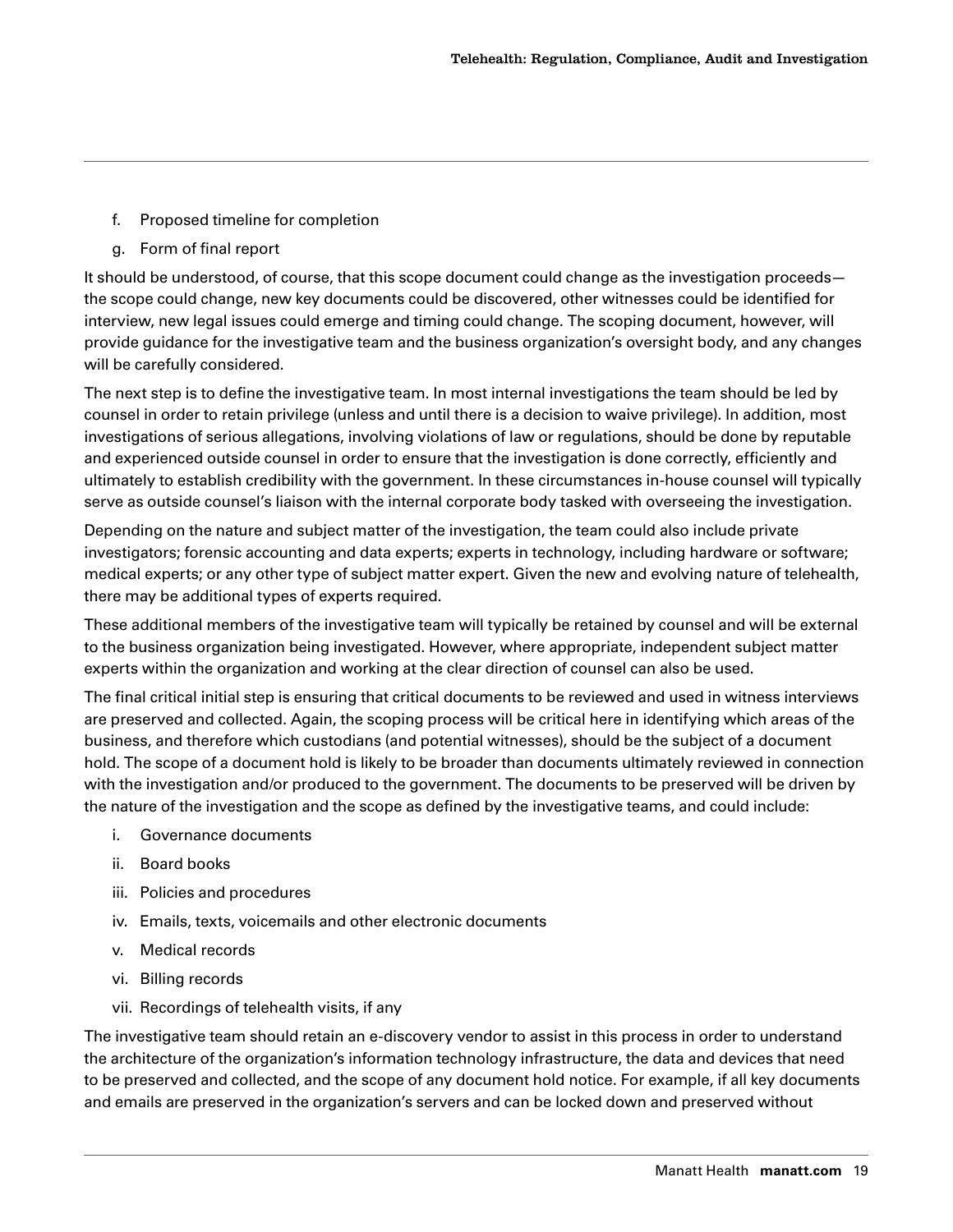- f. Proposed timeline for completion
- g. Form of final report

It should be understood, of course, that this scope document could change as the investigation proceeds the scope could change, new key documents could be discovered, other witnesses could be identified for interview, new legal issues could emerge and timing could change. The scoping document, however, will provide guidance for the investigative team and the business organization's oversight body, and any changes will be carefully considered.

The next step is to define the investigative team. In most internal investigations the team should be led by counsel in order to retain privilege (unless and until there is a decision to waive privilege). In addition, most investigations of serious allegations, involving violations of law or regulations, should be done by reputable and experienced outside counsel in order to ensure that the investigation is done correctly, efficiently and ultimately to establish credibility with the government. In these circumstances in-house counsel will typically serve as outside counsel's liaison with the internal corporate body tasked with overseeing the investigation.

Depending on the nature and subject matter of the investigation, the team could also include private investigators; forensic accounting and data experts; experts in technology, including hardware or software; medical experts; or any other type of subject matter expert. Given the new and evolving nature of telehealth, there may be additional types of experts required.

These additional members of the investigative team will typically be retained by counsel and will be external to the business organization being investigated. However, where appropriate, independent subject matter experts within the organization and working at the clear direction of counsel can also be used.

The final critical initial step is ensuring that critical documents to be reviewed and used in witness interviews are preserved and collected. Again, the scoping process will be critical here in identifying which areas of the business, and therefore which custodians (and potential witnesses), should be the subject of a document hold. The scope of a document hold is likely to be broader than documents ultimately reviewed in connection with the investigation and/or produced to the government. The documents to be preserved will be driven by the nature of the investigation and the scope as defined by the investigative teams, and could include:

- i. Governance documents
- ii. Board books
- iii. Policies and procedures
- iv. Emails, texts, voicemails and other electronic documents
- v. Medical records
- vi. Billing records
- vii. Recordings of telehealth visits, if any

The investigative team should retain an e-discovery vendor to assist in this process in order to understand the architecture of the organization's information technology infrastructure, the data and devices that need to be preserved and collected, and the scope of any document hold notice. For example, if all key documents and emails are preserved in the organization's servers and can be locked down and preserved without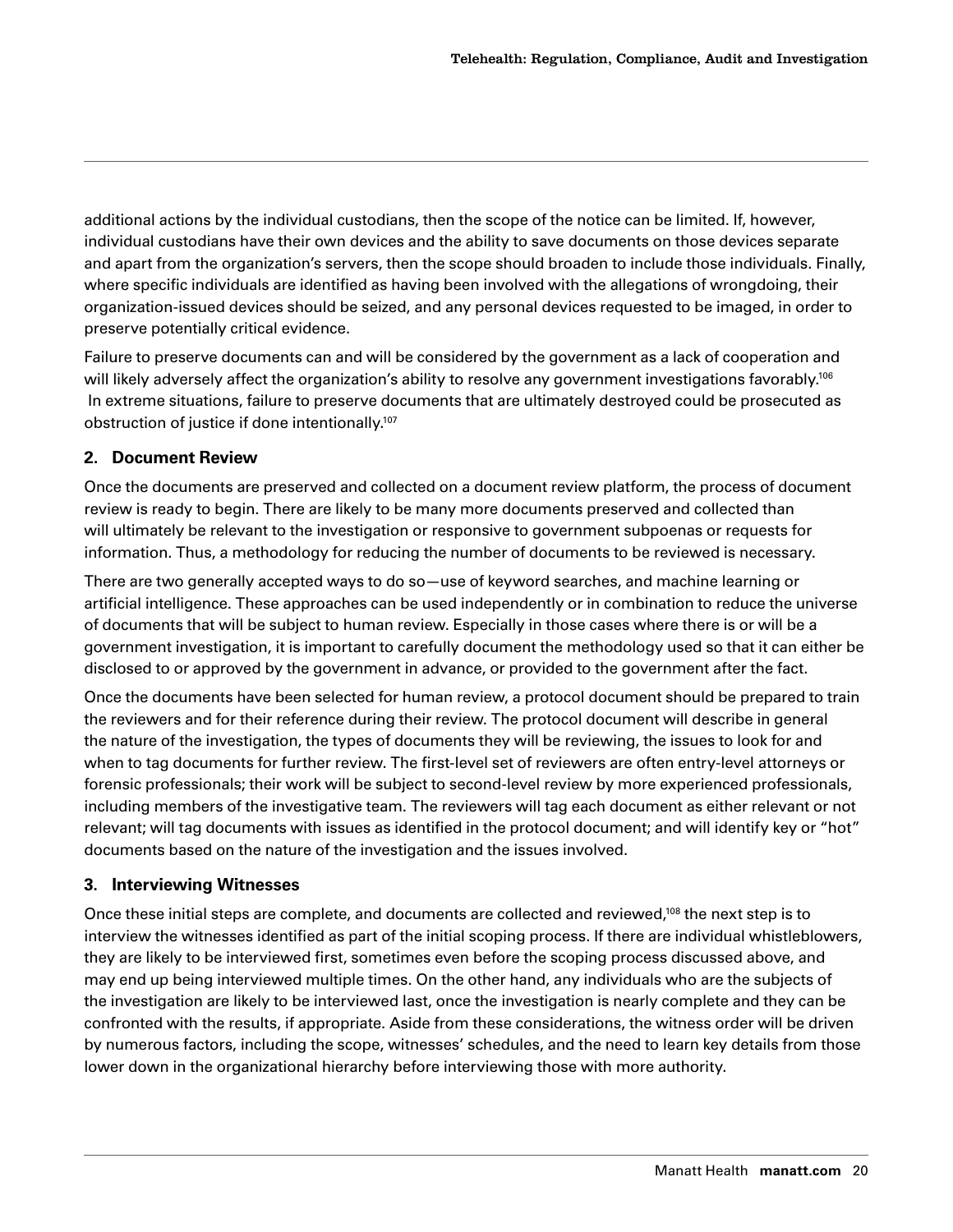<span id="page-19-0"></span>additional actions by the individual custodians, then the scope of the notice can be limited. If, however, individual custodians have their own devices and the ability to save documents on those devices separate and apart from the organization's servers, then the scope should broaden to include those individuals. Finally, where specific individuals are identified as having been involved with the allegations of wrongdoing, their organization-issued devices should be seized, and any personal devices requested to be imaged, in order to preserve potentially critical evidence.

Failure to preserve documents can and will be considered by the government as a lack of cooperation and will likely adversely affect the organization's ability to resolve any government investigations favorably.<sup>106</sup> In extreme situations, failure to preserve documents that are ultimately destroyed could be prosecuted as obstruction of justice if done intentionally[.107](#page-28-0)

#### **2. Document Review**

Once the documents are preserved and collected on a document review platform, the process of document review is ready to begin. There are likely to be many more documents preserved and collected than will ultimately be relevant to the investigation or responsive to government subpoenas or requests for information. Thus, a methodology for reducing the number of documents to be reviewed is necessary.

There are two generally accepted ways to do so—use of keyword searches, and machine learning or artificial intelligence. These approaches can be used independently or in combination to reduce the universe of documents that will be subject to human review. Especially in those cases where there is or will be a government investigation, it is important to carefully document the methodology used so that it can either be disclosed to or approved by the government in advance, or provided to the government after the fact.

Once the documents have been selected for human review, a protocol document should be prepared to train the reviewers and for their reference during their review. The protocol document will describe in general the nature of the investigation, the types of documents they will be reviewing, the issues to look for and when to tag documents for further review. The first-level set of reviewers are often entry-level attorneys or forensic professionals; their work will be subject to second-level review by more experienced professionals, including members of the investigative team. The reviewers will tag each document as either relevant or not relevant; will tag documents with issues as identified in the protocol document; and will identify key or "hot" documents based on the nature of the investigation and the issues involved.

#### **3. Interviewing Witnesses**

Once these initial steps are complete, and documents are collected and reviewed,<sup>108</sup> the next step is to interview the witnesses identified as part of the initial scoping process. If there are individual whistleblowers, they are likely to be interviewed first, sometimes even before the scoping process discussed above, and may end up being interviewed multiple times. On the other hand, any individuals who are the subjects of the investigation are likely to be interviewed last, once the investigation is nearly complete and they can be confronted with the results, if appropriate. Aside from these considerations, the witness order will be driven by numerous factors, including the scope, witnesses' schedules, and the need to learn key details from those lower down in the organizational hierarchy before interviewing those with more authority.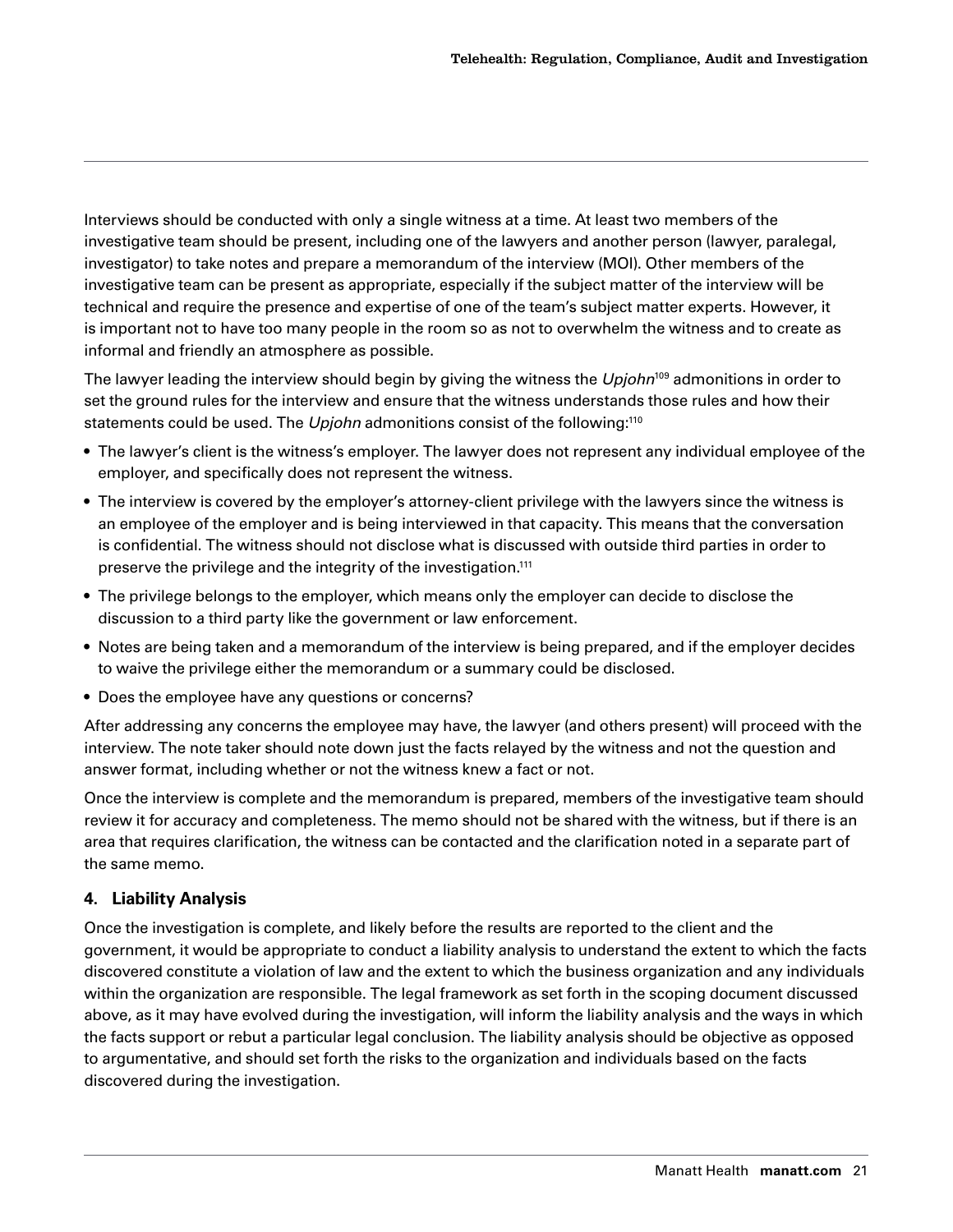<span id="page-20-0"></span>Interviews should be conducted with only a single witness at a time. At least two members of the investigative team should be present, including one of the lawyers and another person (lawyer, paralegal, investigator) to take notes and prepare a memorandum of the interview (MOI). Other members of the investigative team can be present as appropriate, especially if the subject matter of the interview will be technical and require the presence and expertise of one of the team's subject matter experts. However, it is important not to have too many people in the room so as not to overwhelm the witness and to create as informal and friendly an atmosphere as possible.

The lawyer leading the interview should begin by giving the witness the *Upjohn*[109](#page-29-0) admonitions in order to set the ground rules for the interview and ensure that the witness understands those rules and how their statements could be used. The *Upjohn* admonitions consist of the following[:110](#page-29-0)

- The lawyer's client is the witness's employer. The lawyer does not represent any individual employee of the employer, and specifically does not represent the witness.
- The interview is covered by the employer's attorney-client privilege with the lawyers since the witness is an employee of the employer and is being interviewed in that capacity. This means that the conversation is confidential. The witness should not disclose what is discussed with outside third parties in order to preserve the privilege and the integrity of the investigation.<sup>111</sup>
- The privilege belongs to the employer, which means only the employer can decide to disclose the discussion to a third party like the government or law enforcement.
- Notes are being taken and a memorandum of the interview is being prepared, and if the employer decides to waive the privilege either the memorandum or a summary could be disclosed.
- Does the employee have any questions or concerns?

After addressing any concerns the employee may have, the lawyer (and others present) will proceed with the interview. The note taker should note down just the facts relayed by the witness and not the question and answer format, including whether or not the witness knew a fact or not.

Once the interview is complete and the memorandum is prepared, members of the investigative team should review it for accuracy and completeness. The memo should not be shared with the witness, but if there is an area that requires clarification, the witness can be contacted and the clarification noted in a separate part of the same memo.

#### **4. Liability Analysis**

Once the investigation is complete, and likely before the results are reported to the client and the government, it would be appropriate to conduct a liability analysis to understand the extent to which the facts discovered constitute a violation of law and the extent to which the business organization and any individuals within the organization are responsible. The legal framework as set forth in the scoping document discussed above, as it may have evolved during the investigation, will inform the liability analysis and the ways in which the facts support or rebut a particular legal conclusion. The liability analysis should be objective as opposed to argumentative, and should set forth the risks to the organization and individuals based on the facts discovered during the investigation.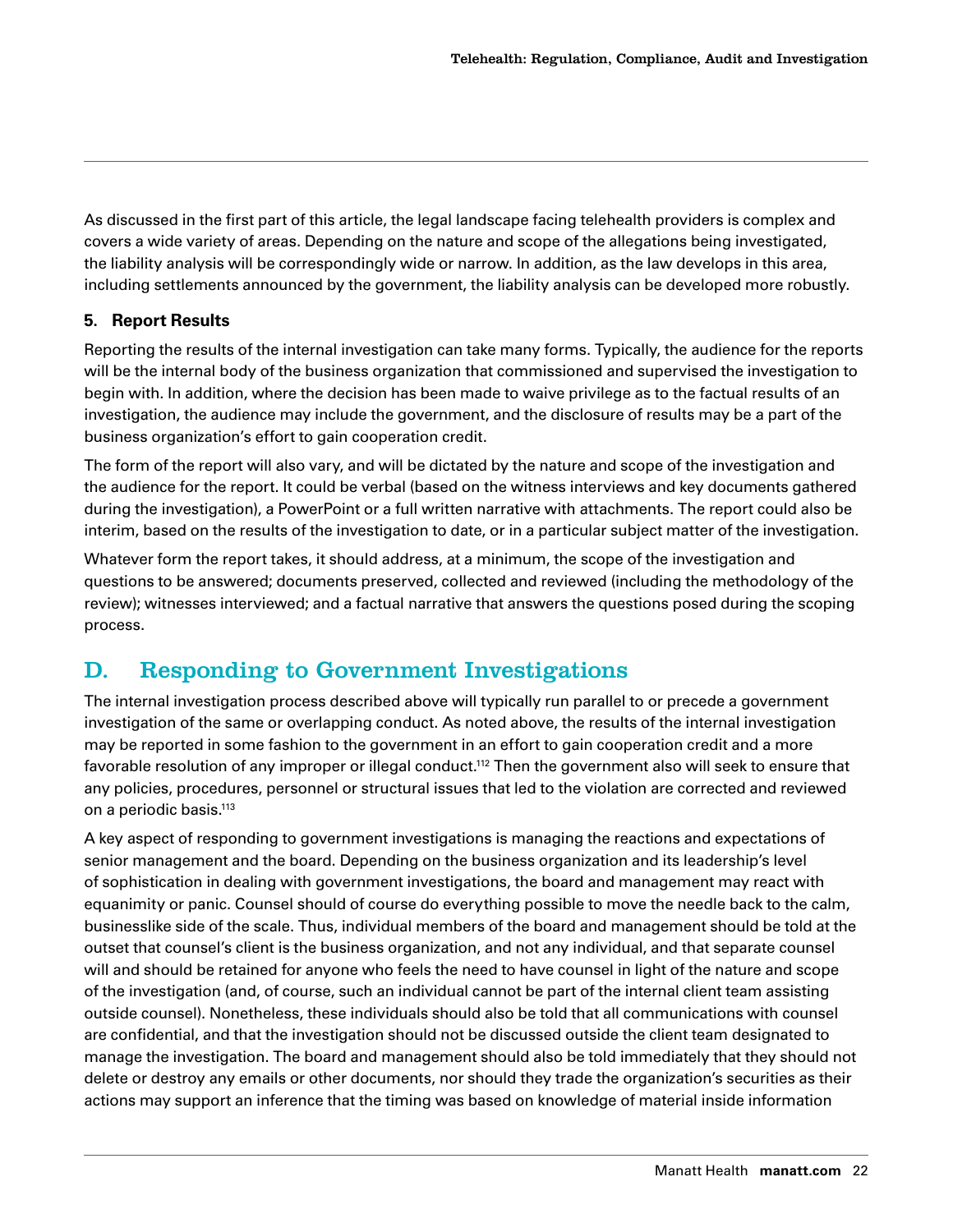<span id="page-21-0"></span>As discussed in the first part of this article, the legal landscape facing telehealth providers is complex and covers a wide variety of areas. Depending on the nature and scope of the allegations being investigated, the liability analysis will be correspondingly wide or narrow. In addition, as the law develops in this area, including settlements announced by the government, the liability analysis can be developed more robustly.

#### **5. Report Results**

Reporting the results of the internal investigation can take many forms. Typically, the audience for the reports will be the internal body of the business organization that commissioned and supervised the investigation to begin with. In addition, where the decision has been made to waive privilege as to the factual results of an investigation, the audience may include the government, and the disclosure of results may be a part of the business organization's effort to gain cooperation credit.

The form of the report will also vary, and will be dictated by the nature and scope of the investigation and the audience for the report. It could be verbal (based on the witness interviews and key documents gathered during the investigation), a PowerPoint or a full written narrative with attachments. The report could also be interim, based on the results of the investigation to date, or in a particular subject matter of the investigation.

Whatever form the report takes, it should address, at a minimum, the scope of the investigation and questions to be answered; documents preserved, collected and reviewed (including the methodology of the review); witnesses interviewed; and a factual narrative that answers the questions posed during the scoping process.

### D. Responding to Government Investigations

The internal investigation process described above will typically run parallel to or precede a government investigation of the same or overlapping conduct. As noted above, the results of the internal investigation may be reported in some fashion to the government in an effort to gain cooperation credit and a more favorable resolution of any improper or illegal conduct.<sup>112</sup> Then the government also will seek to ensure that any policies, procedures, personnel or structural issues that led to the violation are corrected and reviewed on a periodic basis[.113](#page-29-0)

A key aspect of responding to government investigations is managing the reactions and expectations of senior management and the board. Depending on the business organization and its leadership's level of sophistication in dealing with government investigations, the board and management may react with equanimity or panic. Counsel should of course do everything possible to move the needle back to the calm, businesslike side of the scale. Thus, individual members of the board and management should be told at the outset that counsel's client is the business organization, and not any individual, and that separate counsel will and should be retained for anyone who feels the need to have counsel in light of the nature and scope of the investigation (and, of course, such an individual cannot be part of the internal client team assisting outside counsel). Nonetheless, these individuals should also be told that all communications with counsel are confidential, and that the investigation should not be discussed outside the client team designated to manage the investigation. The board and management should also be told immediately that they should not delete or destroy any emails or other documents, nor should they trade the organization's securities as their actions may support an inference that the timing was based on knowledge of material inside information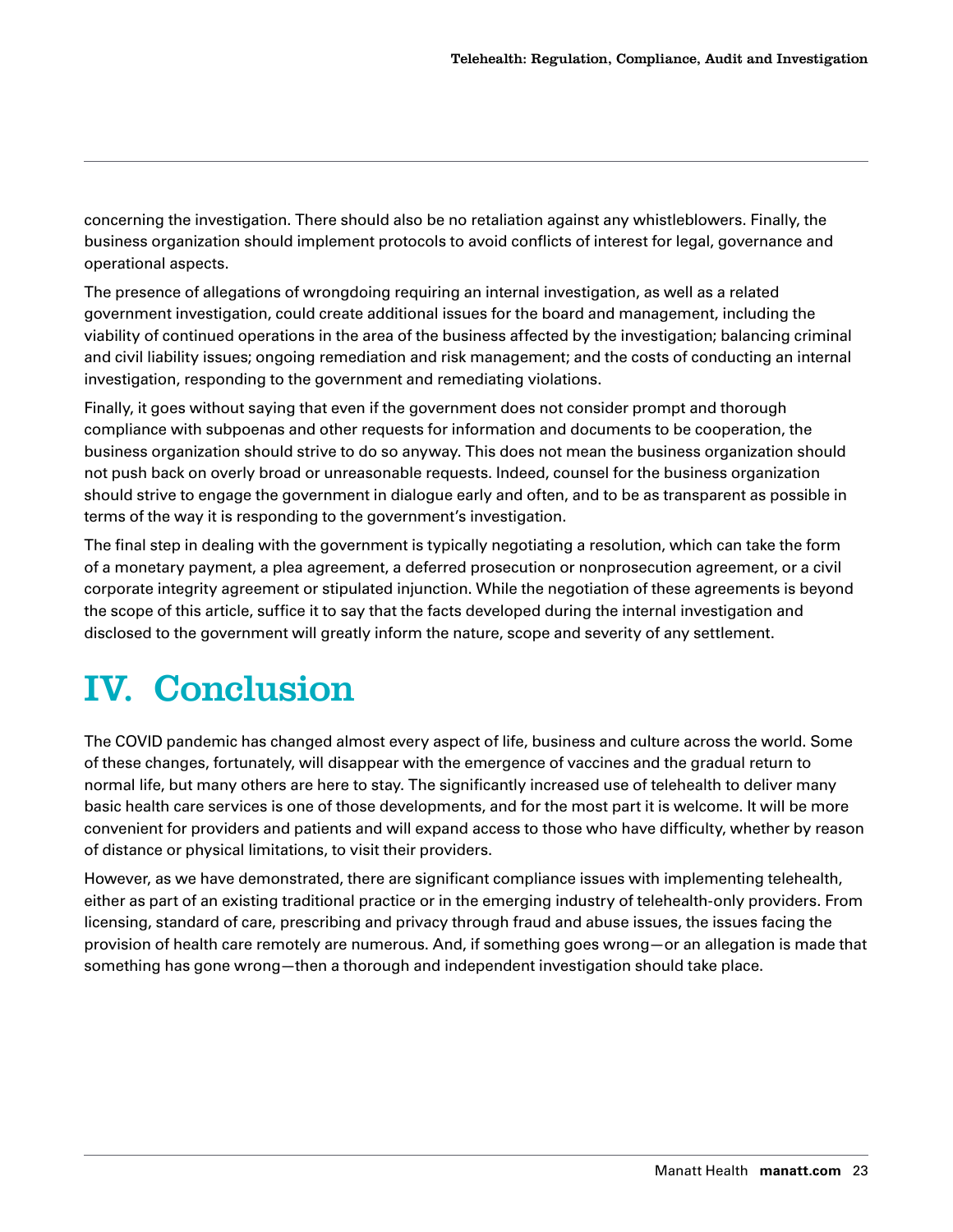<span id="page-22-0"></span>concerning the investigation. There should also be no retaliation against any whistleblowers. Finally, the business organization should implement protocols to avoid conflicts of interest for legal, governance and operational aspects.

The presence of allegations of wrongdoing requiring an internal investigation, as well as a related government investigation, could create additional issues for the board and management, including the viability of continued operations in the area of the business affected by the investigation; balancing criminal and civil liability issues; ongoing remediation and risk management; and the costs of conducting an internal investigation, responding to the government and remediating violations.

Finally, it goes without saying that even if the government does not consider prompt and thorough compliance with subpoenas and other requests for information and documents to be cooperation, the business organization should strive to do so anyway. This does not mean the business organization should not push back on overly broad or unreasonable requests. Indeed, counsel for the business organization should strive to engage the government in dialogue early and often, and to be as transparent as possible in terms of the way it is responding to the government's investigation.

The final step in dealing with the government is typically negotiating a resolution, which can take the form of a monetary payment, a plea agreement, a deferred prosecution or nonprosecution agreement, or a civil corporate integrity agreement or stipulated injunction. While the negotiation of these agreements is beyond the scope of this article, suffice it to say that the facts developed during the internal investigation and disclosed to the government will greatly inform the nature, scope and severity of any settlement.

## IV. Conclusion

The COVID pandemic has changed almost every aspect of life, business and culture across the world. Some of these changes, fortunately, will disappear with the emergence of vaccines and the gradual return to normal life, but many others are here to stay. The significantly increased use of telehealth to deliver many basic health care services is one of those developments, and for the most part it is welcome. It will be more convenient for providers and patients and will expand access to those who have difficulty, whether by reason of distance or physical limitations, to visit their providers.

However, as we have demonstrated, there are significant compliance issues with implementing telehealth, either as part of an existing traditional practice or in the emerging industry of telehealth-only providers. From licensing, standard of care, prescribing and privacy through fraud and abuse issues, the issues facing the provision of health care remotely are numerous. And, if something goes wrong—or an allegation is made that something has gone wrong—then a thorough and independent investigation should take place.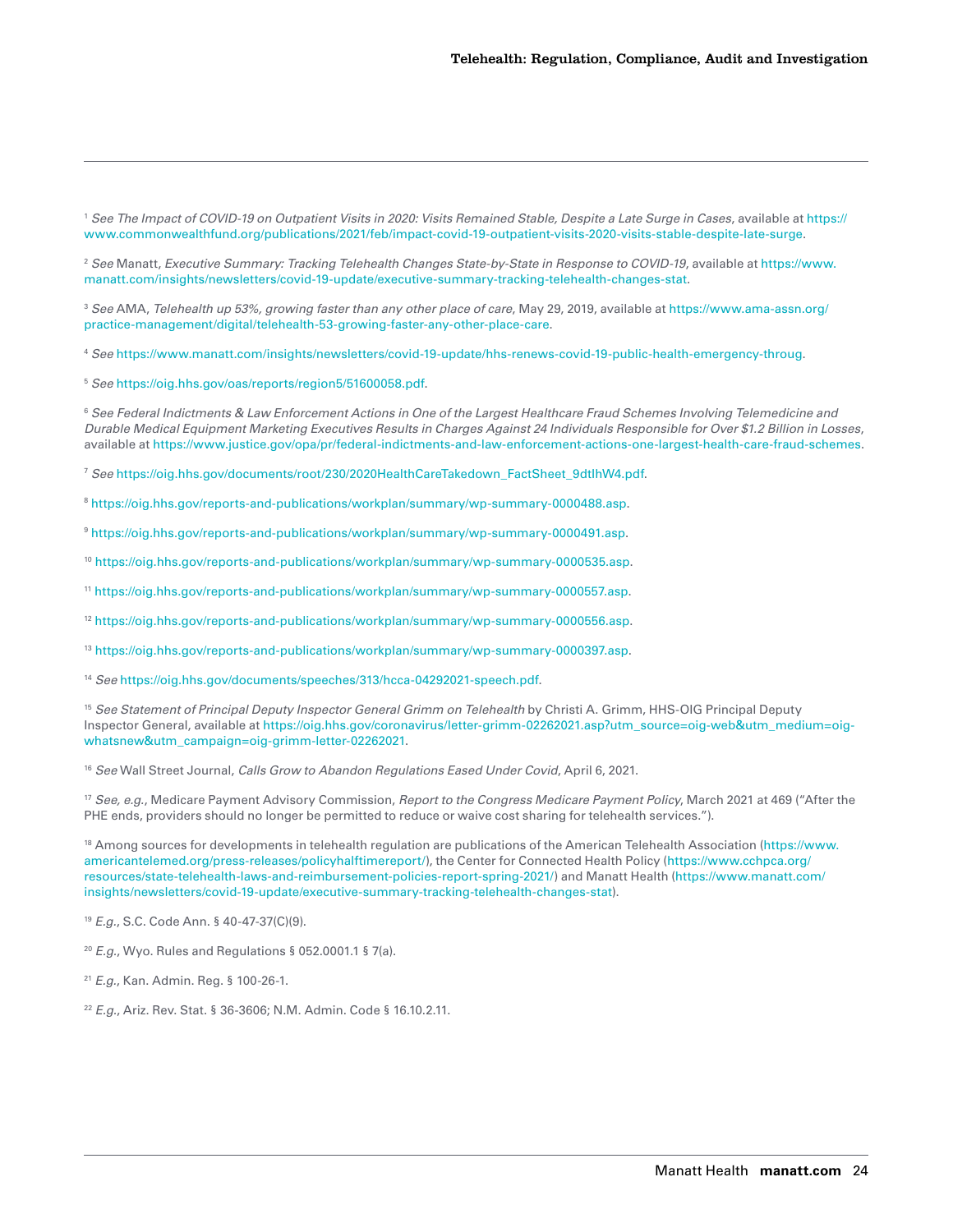<span id="page-23-0"></span><sup>1</sup> *See The Impact of COVID-19 on Outpatient Visits in 2020: Visits Remained Stable, Despite a Late Surge in Cases*, available at [https://](https://www.commonwealthfund.org/publications/2021/feb/impact-covid-19-outpatient-visits-2020-visits-stable-despite-late-surge) [www.commonwealthfund.org/publications/2021/feb/impact-covid-19-outpatient-visits-2020-visits-stable-despite-late-surge.](https://www.commonwealthfund.org/publications/2021/feb/impact-covid-19-outpatient-visits-2020-visits-stable-despite-late-surge)

<sup>2</sup> *See* Manatt, *Executive Summary: Tracking Telehealth Changes State-by-State in Response to COVID-19*, available at [https://www.](https://www.manatt.com/insights/newsletters/covid-19-update/executive-summary-tracking-telehealth-changes-stat) [manatt.com/insights/newsletters/covid-19-update/executive-summary-tracking-telehealth-changes-stat.](https://www.manatt.com/insights/newsletters/covid-19-update/executive-summary-tracking-telehealth-changes-stat)

<sup>3</sup> *See* AMA, *Telehealth up 53%, growing faster than any other place of care*, May 29, 2019, available at [https://www.ama-assn.org/](https://www.ama-assn.org/practice-management/digital/telehealth-53-growing-faster-any-other-place-care) [practice-management/digital/telehealth-53-growing-faster-any-other-place-care](https://www.ama-assn.org/practice-management/digital/telehealth-53-growing-faster-any-other-place-care).

<sup>4</sup> *See* [https://www.manatt.com/insights/newsletters/covid-19-update/hhs-renews-covid-19-public-health-emergency-throug.](https://www.manatt.com/insights/newsletters/covid-19-update/hhs-renews-covid-19-public-health-emergency-throug)

<sup>5</sup> *See* [https://oig.hhs.gov/oas/reports/region5/51600058.pdf.](https://oig.hhs.gov/oas/reports/region5/51600058.pdf)

<sup>6</sup> *See Federal Indictments & Law Enforcement Actions in One of the Largest Healthcare Fraud Schemes Involving Telemedicine and Durable Medical Equipment Marketing Executives Results in Charges Against 24 Individuals Responsible for Over \$1.2 Billion in Losses*, available at<https://www.justice.gov/opa/pr/federal-indictments-and-law-enforcement-actions-one-largest-health-care-fraud-schemes>.

<sup>7</sup> *See* [https://oig.hhs.gov/documents/root/230/2020HealthCareTakedown\\_FactSheet\\_9dtIhW4.pdf.](https://oig.hhs.gov/documents/root/230/2020HealthCareTakedown_FactSheet_9dtIhW4.pdf)

<sup>8</sup> [https://oig.hhs.gov/reports-and-publications/workplan/summary/wp-summary-0000488.asp.](https://oig.hhs.gov/reports-and-publications/workplan/summary/wp-summary-0000488.asp)

<sup>9</sup> [https://oig.hhs.gov/reports-and-publications/workplan/summary/wp-summary-0000491.asp.](https://oig.hhs.gov/reports-and-publications/workplan/summary/wp-summary-0000491.asp)

<sup>10</sup> [https://oig.hhs.gov/reports-and-publications/workplan/summary/wp-summary-0000535.asp.](https://oig.hhs.gov/reports-and-publications/workplan/summary/wp-summary-0000535.asp)

<sup>11</sup> [https://oig.hhs.gov/reports-and-publications/workplan/summary/wp-summary-0000557.asp.](https://oig.hhs.gov/reports-and-publications/workplan/summary/wp-summary-0000557.asp)

<sup>12</sup> [https://oig.hhs.gov/reports-and-publications/workplan/summary/wp-summary-0000556.asp.](https://oig.hhs.gov/reports-and-publications/workplan/summary/wp-summary-0000556.asp)

<sup>13</sup> [https://oig.hhs.gov/reports-and-publications/workplan/summary/wp-summary-0000397.asp.](https://oig.hhs.gov/reports-and-publications/workplan/summary/wp-summary-0000397.asp)

<sup>14</sup> *See* <https://oig.hhs.gov/documents/speeches/313/hcca-04292021-speech.pdf>.

<sup>15</sup> See Statement of Principal Deputy Inspector General Grimm on Telehealth by Christi A. Grimm, HHS-OIG Principal Deputy Inspector General, available at [https://oig.hhs.gov/coronavirus/letter-grimm-02262021.asp?utm\\_source=oig-web&utm\\_medium=oig](https://oig.hhs.gov/coronavirus/letter-grimm-02262021.asp?utm_source=oig-web&utm_medium=oig-whatsnew&utm_campaign=oig-grimm-letter-02262021)[whatsnew&utm\\_campaign=oig-grimm-letter-02262021](https://oig.hhs.gov/coronavirus/letter-grimm-02262021.asp?utm_source=oig-web&utm_medium=oig-whatsnew&utm_campaign=oig-grimm-letter-02262021).

<sup>16</sup> *See* Wall Street Journal, *Calls Grow to Abandon Regulations Eased Under Covid*, April 6, 2021.

<sup>17</sup> *See, e.g.*, Medicare Payment Advisory Commission, *Report to the Congress Medicare Payment Policy*, March 2021 at 469 ("After the PHE ends, providers should no longer be permitted to reduce or waive cost sharing for telehealth services.").

<sup>18</sup> Among sources for developments in telehealth regulation are publications of the American Telehealth Association ([https://www.](https://www.americantelemed.org/press-releases/policyhalftimereport/) [americantelemed.org/press-releases/policyhalftimereport/\)](https://www.americantelemed.org/press-releases/policyhalftimereport/), the Center for Connected Health Policy [\(https://www.cchpca.org/](https://www.cchpca.org/resources/state-telehealth-laws-and-reimbursement-policies-report-spring-2021/) [resources/state-telehealth-laws-and-reimbursement-policies-report-spring-2021/](https://www.cchpca.org/resources/state-telehealth-laws-and-reimbursement-policies-report-spring-2021/)) and Manatt Health [\(https://www.manatt.com/](https://www.manatt.com/insights/newsletters/covid-19-update/executive-summary-tracking-telehealth-changes-stat) [insights/newsletters/covid-19-update/executive-summary-tracking-telehealth-changes-stat](https://www.manatt.com/insights/newsletters/covid-19-update/executive-summary-tracking-telehealth-changes-stat)).

<sup>19</sup> *E.g.*, S.C. Code Ann. § 40-47-37(C)(9).

<sup>20</sup> *E.g.*, Wyo. Rules and Regulations § 052.0001.1 § 7(a).

<sup>21</sup> *E.g.*, Kan. Admin. Reg. § 100-26-1.

<sup>22</sup> *E.g.*, Ariz. Rev. Stat. § 36-3606; N.M. Admin. Code § 16.10.2.11.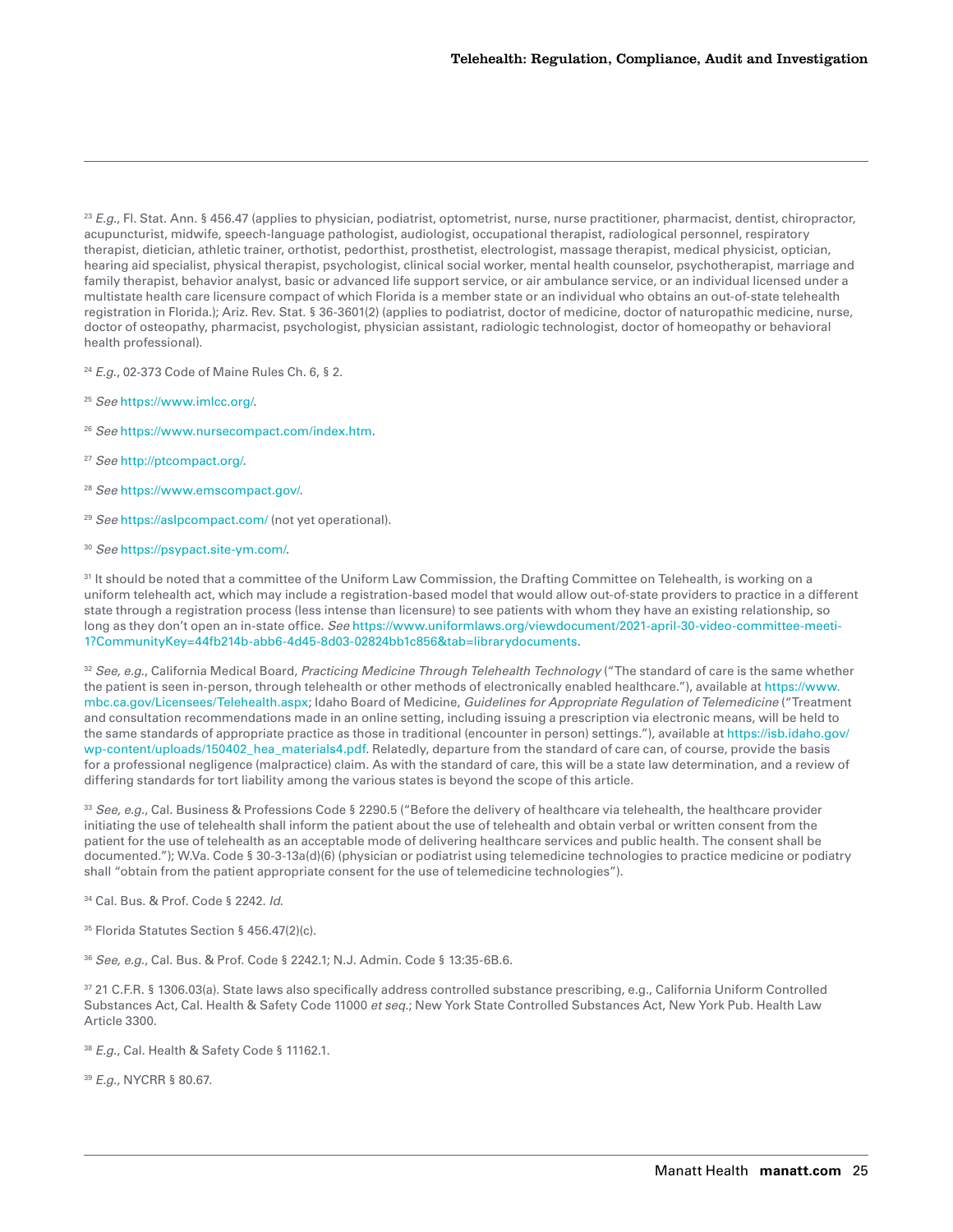<span id="page-24-0"></span><sup>23</sup> *E.g.*, Fl. Stat. Ann. § 456.47 (applies to physician, podiatrist, optometrist, nurse, nurse practitioner, pharmacist, dentist, chiropractor, acupuncturist, midwife, speech-language pathologist, audiologist, occupational therapist, radiological personnel, respiratory therapist, dietician, athletic trainer, orthotist, pedorthist, prosthetist, electrologist, massage therapist, medical physicist, optician, hearing aid specialist, physical therapist, psychologist, clinical social worker, mental health counselor, psychotherapist, marriage and family therapist, behavior analyst, basic or advanced life support service, or air ambulance service, or an individual licensed under a multistate health care licensure compact of which Florida is a member state or an individual who obtains an out-of-state telehealth registration in Florida.); Ariz. Rev. Stat. § 36-3601(2) (applies to podiatrist, doctor of medicine, doctor of naturopathic medicine, nurse, doctor of osteopathy, pharmacist, psychologist, physician assistant, radiologic technologist, doctor of homeopathy or behavioral health professional).

<sup>24</sup> *E.g.*, 02-373 Code of Maine Rules Ch. 6, § 2.

- <sup>25</sup> *See* [https://www.imlcc.org/.](https://www.imlcc.org/)
- <sup>26</sup> *See* <https://www.nursecompact.com/index.htm>.
- <sup>27</sup> *See* <http://ptcompact.org/>.
- <sup>28</sup> *See* [https://www.emscompact.gov/.](https://www.emscompact.gov/)
- <sup>29</sup> *See* <https://aslpcompact.com/> (not yet operational).
- <sup>30</sup> *See* [https://psypact.site-ym.com/.](https://psypact.site-ym.com/)

<sup>31</sup> It should be noted that a committee of the Uniform Law Commission, the Drafting Committee on Telehealth, is working on a uniform telehealth act, which may include a registration-based model that would allow out-of-state providers to practice in a different state through a registration process (less intense than licensure) to see patients with whom they have an existing relationship, so long as they don't open an in-state office. *See* [https://www.uniformlaws.org/viewdocument/2021-april-30-video-committee-meeti-](https://www.uniformlaws.org/viewdocument/2021-april-30-video-committee-meeti-1?CommunityKey=44fb214b-abb6-4d45-8d03-02824bb1c856&tab=librarydocuments)[1?CommunityKey=44fb214b-abb6-4d45-8d03-02824bb1c856&tab=librarydocuments](https://www.uniformlaws.org/viewdocument/2021-april-30-video-committee-meeti-1?CommunityKey=44fb214b-abb6-4d45-8d03-02824bb1c856&tab=librarydocuments).

<sup>32</sup> *See, e.g.*, California Medical Board, *Practicing Medicine Through Telehealth Technology* ("The standard of care is the same whether the patient is seen in-person, through telehealth or other methods of electronically enabled healthcare."), available at [https://www.](https://www.mbc.ca.gov/Licensees/Telehealth.aspx) [mbc.ca.gov/Licensees/Telehealth.aspx](https://www.mbc.ca.gov/Licensees/Telehealth.aspx); Idaho Board of Medicine, *Guidelines for Appropriate Regulation of Telemedicine* ("Treatment and consultation recommendations made in an online setting, including issuing a prescription via electronic means, will be held to the same standards of appropriate practice as those in traditional (encounter in person) settings."), available at [https://isb.idaho.gov/](https://isb.idaho.gov/wp-content/uploads/150402_hea_materials4.pdf) [wp-content/uploads/150402\\_hea\\_materials4.pdf](https://isb.idaho.gov/wp-content/uploads/150402_hea_materials4.pdf). Relatedly, departure from the standard of care can, of course, provide the basis for a professional negligence (malpractice) claim. As with the standard of care, this will be a state law determination, and a review of differing standards for tort liability among the various states is beyond the scope of this article.

<sup>33</sup> *See, e.g.*, Cal. Business & Professions Code § 2290.5 ("Before the delivery of healthcare via telehealth, the healthcare provider initiating the use of telehealth shall inform the patient about the use of telehealth and obtain verbal or written consent from the patient for the use of telehealth as an acceptable mode of delivering healthcare services and public health. The consent shall be documented."); W.Va. Code § 30-3-13a(d)(6) (physician or podiatrist using telemedicine technologies to practice medicine or podiatry shall "obtain from the patient appropriate consent for the use of telemedicine technologies").

34 Cal. Bus. & Prof. Code § 2242. *Id.*

35 Florida Statutes Section § 456.47(2)(c).

<sup>36</sup> *See, e.g.*, Cal. Bus. & Prof. Code § 2242.1; N.J. Admin. Code § 13:35-6B.6.

37 21 C.F.R. § 1306.03(a). State laws also specifically address controlled substance prescribing, e.g., California Uniform Controlled Substances Act, Cal. Health & Safety Code 11000 *et seq.*; New York State Controlled Substances Act, New York Pub. Health Law Article 3300.

<sup>38</sup> *E.g.*, Cal. Health & Safety Code § 11162.1.

<sup>39</sup> *E.g.*, NYCRR § 80.67.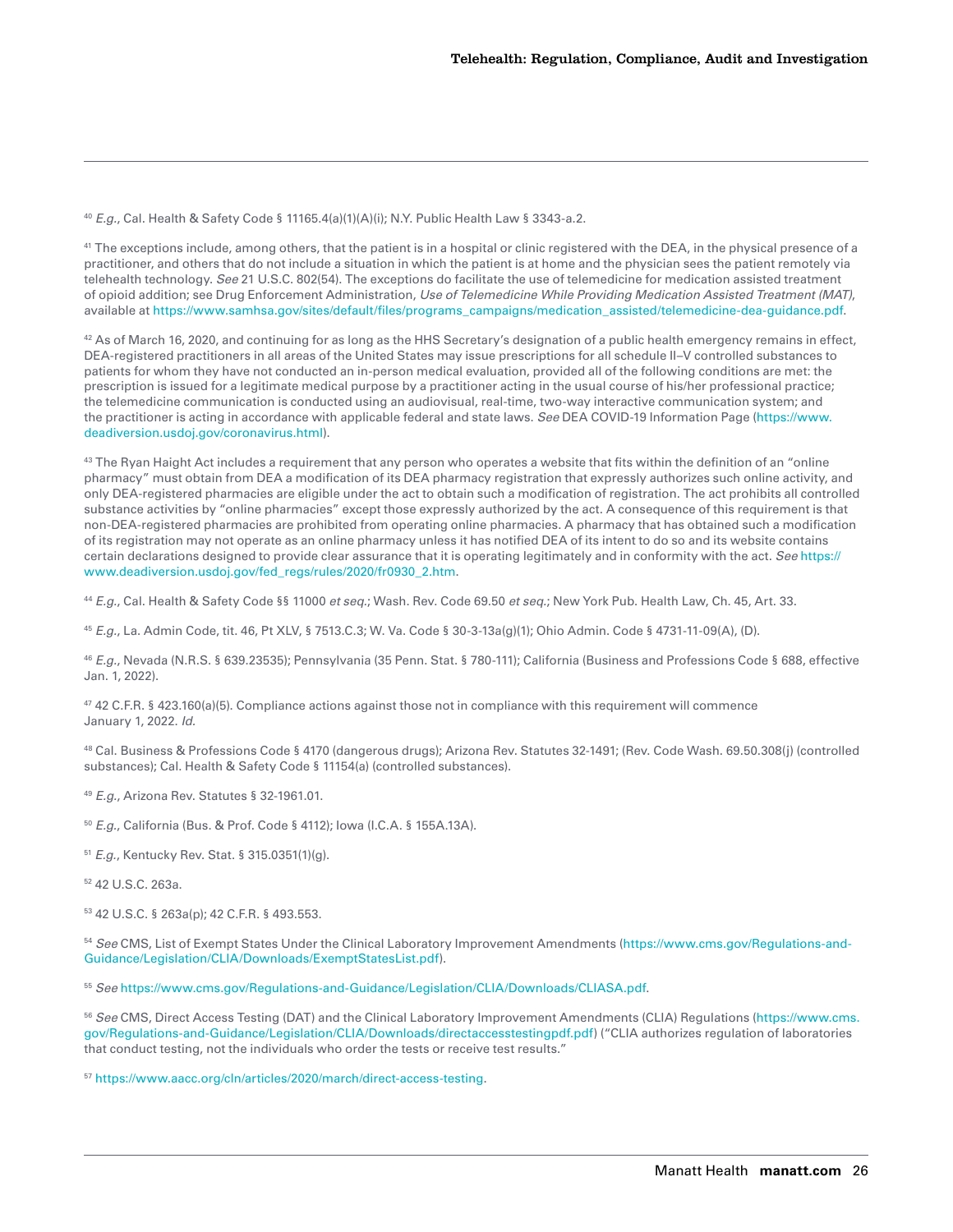<span id="page-25-0"></span><sup>40</sup> *E.g.*, Cal. Health & Safety Code § 11165.4(a)(1)(A)(i); N.Y. Public Health Law § 3343-a.2.

<sup>41</sup> The exceptions include, among others, that the patient is in a hospital or clinic registered with the DEA, in the physical presence of a practitioner, and others that do not include a situation in which the patient is at home and the physician sees the patient remotely via telehealth technology. *See* 21 U.S.C. 802(54). The exceptions do facilitate the use of telemedicine for medication assisted treatment of opioid addition; see Drug Enforcement Administration, *Use of Telemedicine While Providing Medication Assisted Treatment (MAT)*, available at [https://www.samhsa.gov/sites/default/files/programs\\_campaigns/medication\\_assisted/telemedicine-dea-guidance.pdf.](https://www.samhsa.gov/sites/default/files/programs_campaigns/medication_assisted/telemedicine-dea-guidance.pdf)

 $42$  As of March 16, 2020, and continuing for as long as the HHS Secretary's designation of a public health emergency remains in effect, DEA-registered practitioners in all areas of the United States may issue prescriptions for all schedule II–V controlled substances to patients for whom they have not conducted an in-person medical evaluation, provided all of the following conditions are met: the prescription is issued for a legitimate medical purpose by a practitioner acting in the usual course of his/her professional practice; the telemedicine communication is conducted using an audiovisual, real-time, two-way interactive communication system; and the practitioner is acting in accordance with applicable federal and state laws. *See* DEA COVID-19 Information Page [\(https://www.](https://www.deadiversion.usdoj.gov/coronavirus.html) [deadiversion.usdoj.gov/coronavirus.html](https://www.deadiversion.usdoj.gov/coronavirus.html)).

<sup>43</sup> The Ryan Haight Act includes a requirement that any person who operates a website that fits within the definition of an "online pharmacy" must obtain from DEA a modification of its DEA pharmacy registration that expressly authorizes such online activity, and only DEA-registered pharmacies are eligible under the act to obtain such a modification of registration. The act prohibits all controlled substance activities by "online pharmacies" except those expressly authorized by the act. A consequence of this requirement is that non-DEA-registered pharmacies are prohibited from operating online pharmacies. A pharmacy that has obtained such a modification of its registration may not operate as an online pharmacy unless it has notified DEA of its intent to do so and its website contains certain declarations designed to provide clear assurance that it is operating legitimately and in conformity with the act. *See* [https://](https://www.deadiversion.usdoj.gov/fed_regs/rules/2020/fr0930_2.htm) [www.deadiversion.usdoj.gov/fed\\_regs/rules/2020/fr0930\\_2.htm.](https://www.deadiversion.usdoj.gov/fed_regs/rules/2020/fr0930_2.htm)

<sup>44</sup> *E.g.*, Cal. Health & Safety Code §§ 11000 *et seq.*; Wash. Rev. Code 69.50 *et seq.*; New York Pub. Health Law, Ch. 45, Art. 33.

<sup>45</sup> *E.g.*, La. Admin Code, tit. 46, Pt XLV, § 7513.C.3; W. Va. Code § 30-3-13a(g)(1); Ohio Admin. Code § 4731-11-09(A), (D).

<sup>46</sup> *E.g.*, Nevada (N.R.S. § 639.23535); Pennsylvania (35 Penn. Stat. § 780-111); California (Business and Professions Code § 688, effective Jan. 1, 2022).

47 42 C.F.R. § 423.160(a)(5). Compliance actions against those not in compliance with this requirement will commence January 1, 2022. *Id.*

48 Cal. Business & Professions Code § 4170 (dangerous drugs); Arizona Rev. Statutes 32-1491; (Rev. Code Wash. 69.50.308(j) (controlled substances); Cal. Health & Safety Code § 11154(a) (controlled substances).

<sup>49</sup> *E.g.*, Arizona Rev. Statutes § 32-1961.01.

<sup>50</sup> *E.g.*, California (Bus. & Prof. Code § 4112); Iowa (I.C.A. § 155A.13A).

<sup>51</sup> *E.g.*, Kentucky Rev. Stat. § 315.0351(1)(g).

52 42 U.S.C. 263a.

53 42 U.S.C. § 263a(p); 42 C.F.R. § 493.553.

<sup>54</sup> *See* CMS, List of Exempt States Under the Clinical Laboratory Improvement Amendments [\(https://www.cms.gov/Regulations-and-](https://www.cms.gov/Regulations-and-Guidance/Legislation/CLIA/Downloads/ExemptStatesList.pdf)[Guidance/Legislation/CLIA/Downloads/ExemptStatesList.pdf](https://www.cms.gov/Regulations-and-Guidance/Legislation/CLIA/Downloads/ExemptStatesList.pdf)).

<sup>55</sup> *See* <https://www.cms.gov/Regulations-and-Guidance/Legislation/CLIA/Downloads/CLIASA.pdf>.

<sup>56</sup> *See* CMS, Direct Access Testing (DAT) and the Clinical Laboratory Improvement Amendments (CLIA) Regulations [\(https://www.cms.](https://www.cms.gov/Regulations-and-Guidance/Legislation/CLIA/Downloads/directaccesstestingpdf.pdf) [gov/Regulations-and-Guidance/Legislation/CLIA/Downloads/directaccesstestingpdf.pdf](https://www.cms.gov/Regulations-and-Guidance/Legislation/CLIA/Downloads/directaccesstestingpdf.pdf)) ("CLIA authorizes regulation of laboratories that conduct testing, not the individuals who order the tests or receive test results."

<sup>57</sup> [https://www.aacc.org/cln/articles/2020/march/direct-access-testing.](https://www.aacc.org/cln/articles/2020/march/direct-access-testing)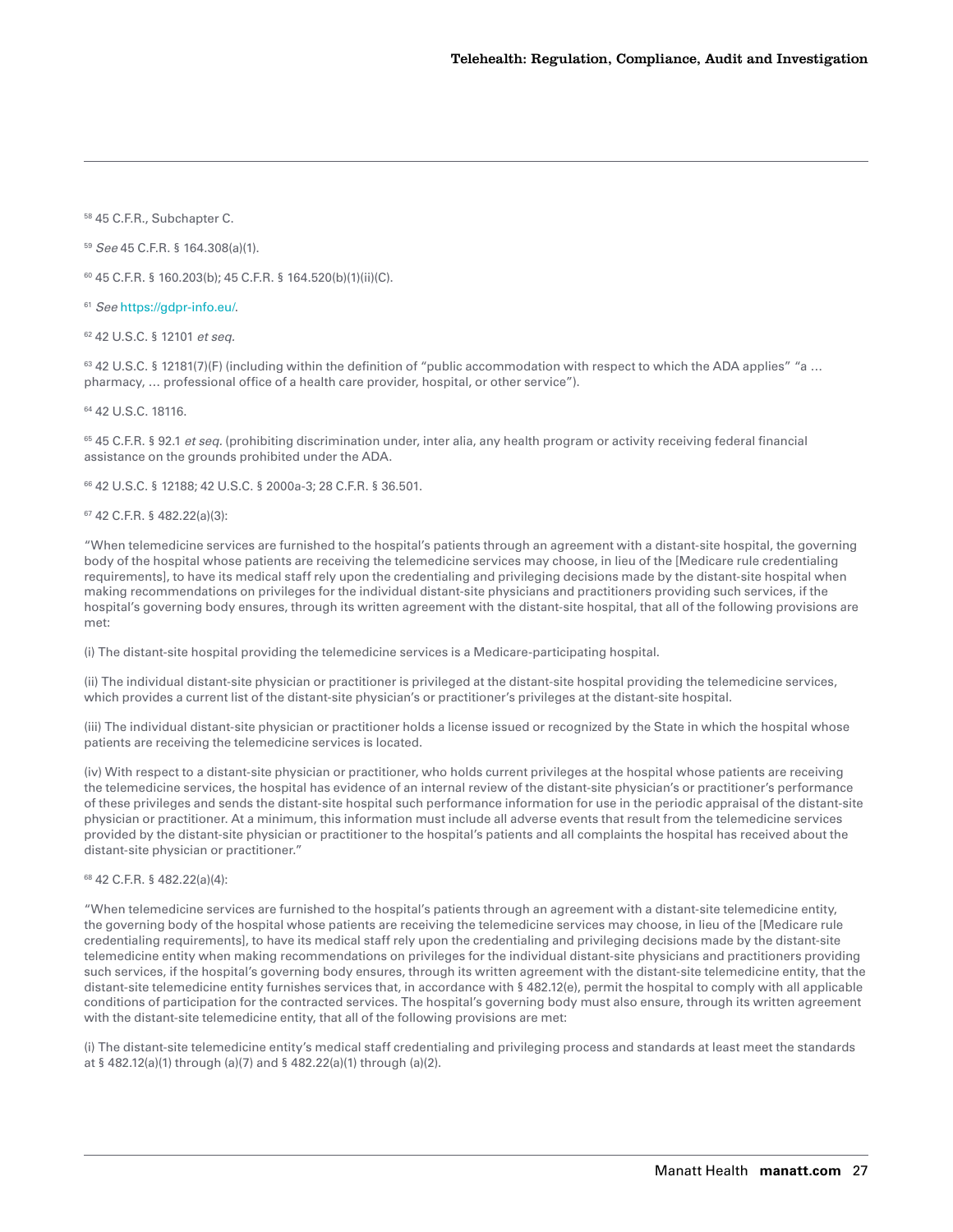<span id="page-26-0"></span>58 45 C.F.R., Subchapter C.

<sup>59</sup> *See* 45 C.F.R. § 164.308(a)(1).

60 45 C.F.R. § 160.203(b); 45 C.F.R. § 164.520(b)(1)(ii)(C).

<sup>61</sup> *See* [https://gdpr-info.eu/.](https://gdpr-info.eu/)

62 42 U.S.C. § 12101 *et seq.*

<sup>63</sup> 42 U.S.C. § 12181(7)(F) (including within the definition of "public accommodation with respect to which the ADA applies" "a ... pharmacy, … professional office of a health care provider, hospital, or other service").

64 42 U.S.C. 18116.

65 45 C.F.R. § 92.1 *et seq.* (prohibiting discrimination under, inter alia, any health program or activity receiving federal financial assistance on the grounds prohibited under the ADA.

66 42 U.S.C. § 12188; 42 U.S.C. § 2000a-3; 28 C.F.R. § 36.501.

67 42 C.F.R. § 482.22(a)(3):

"When telemedicine services are furnished to the hospital's patients through an agreement with a distant-site hospital, the governing body of the hospital whose patients are receiving the telemedicine services may choose, in lieu of the [Medicare rule credentialing requirements], to have its medical staff rely upon the credentialing and privileging decisions made by the distant-site hospital when making recommendations on privileges for the individual distant-site physicians and practitioners providing such services, if the hospital's governing body ensures, through its written agreement with the distant-site hospital, that all of the following provisions are met:

(i) The distant-site hospital providing the telemedicine services is a Medicare-participating hospital.

(ii) The individual distant-site physician or practitioner is privileged at the distant-site hospital providing the telemedicine services, which provides a current list of the distant-site physician's or practitioner's privileges at the distant-site hospital.

(iii) The individual distant-site physician or practitioner holds a license issued or recognized by the State in which the hospital whose patients are receiving the telemedicine services is located.

(iv) With respect to a distant-site physician or practitioner, who holds current privileges at the hospital whose patients are receiving the telemedicine services, the hospital has evidence of an internal review of the distant-site physician's or practitioner's performance of these privileges and sends the distant-site hospital such performance information for use in the periodic appraisal of the distant-site physician or practitioner. At a minimum, this information must include all adverse events that result from the telemedicine services provided by the distant-site physician or practitioner to the hospital's patients and all complaints the hospital has received about the distant-site physician or practitioner."

#### 68 42 C.F.R. § 482.22(a)(4):

"When telemedicine services are furnished to the hospital's patients through an agreement with a distant-site telemedicine entity, the governing body of the hospital whose patients are receiving the telemedicine services may choose, in lieu of the [Medicare rule credentialing requirements], to have its medical staff rely upon the credentialing and privileging decisions made by the distant-site telemedicine entity when making recommendations on privileges for the individual distant-site physicians and practitioners providing such services, if the hospital's governing body ensures, through its written agreement with the distant-site telemedicine entity, that the distant-site telemedicine entity furnishes services that, in accordance with § 482.12(e), permit the hospital to comply with all applicable conditions of participation for the contracted services. The hospital's governing body must also ensure, through its written agreement with the distant-site telemedicine entity, that all of the following provisions are met:

(i) The distant-site telemedicine entity's medical staff credentialing and privileging process and standards at least meet the standards at § 482.12(a)(1) through (a)(7) and § 482.22(a)(1) through (a)(2).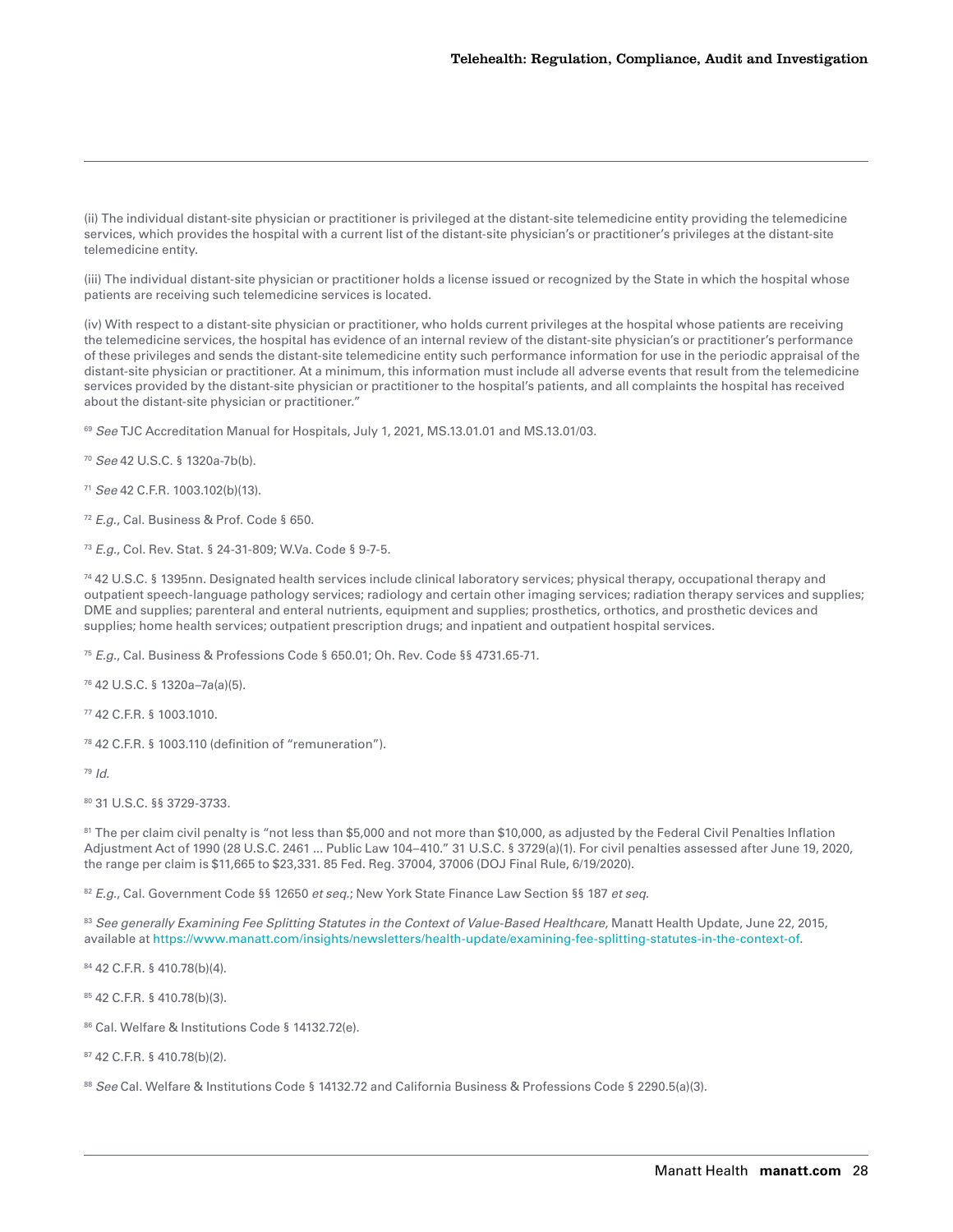<span id="page-27-0"></span>(ii) The individual distant-site physician or practitioner is privileged at the distant-site telemedicine entity providing the telemedicine services, which provides the hospital with a current list of the distant-site physician's or practitioner's privileges at the distant-site telemedicine entity.

(iii) The individual distant-site physician or practitioner holds a license issued or recognized by the State in which the hospital whose patients are receiving such telemedicine services is located.

(iv) With respect to a distant-site physician or practitioner, who holds current privileges at the hospital whose patients are receiving the telemedicine services, the hospital has evidence of an internal review of the distant-site physician's or practitioner's performance of these privileges and sends the distant-site telemedicine entity such performance information for use in the periodic appraisal of the distant-site physician or practitioner. At a minimum, this information must include all adverse events that result from the telemedicine services provided by the distant-site physician or practitioner to the hospital's patients, and all complaints the hospital has received about the distant-site physician or practitioner."

<sup>69</sup> See TJC Accreditation Manual for Hospitals, July 1, 2021, MS.13.01.01 and MS.13.01/03.

<sup>70</sup> *See* 42 U.S.C. § 1320a-7b(b).

<sup>71</sup> *See* 42 C.F.R. 1003.102(b)(13).

<sup>72</sup> *E.g.*, Cal. Business & Prof. Code § 650.

<sup>73</sup> *E.g.*, Col. Rev. Stat. § 24-31-809; W.Va. Code § 9-7-5.

74 42 U.S.C. § 1395nn. Designated health services include clinical laboratory services; physical therapy, occupational therapy and outpatient speech-language pathology services; radiology and certain other imaging services; radiation therapy services and supplies; DME and supplies; parenteral and enteral nutrients, equipment and supplies; prosthetics, orthotics, and prosthetic devices and supplies; home health services; outpatient prescription drugs; and inpatient and outpatient hospital services.

<sup>75</sup> *E.g.*, Cal. Business & Professions Code § 650.01; Oh. Rev. Code §§ 4731.65-71.

76 42 U.S.C. § 1320a–7a(a)(5).

77 42 C.F.R. § 1003.1010.

78 42 C.F.R. § 1003.110 (definition of "remuneration").

<sup>79</sup> *Id.*

80 31 U.S.C. §§ 3729-3733.

81 The per claim civil penalty is "not less than \$5,000 and not more than \$10,000, as adjusted by the Federal Civil Penalties Inflation Adjustment Act of 1990 (28 U.S.C. 2461 ... Public Law 104–410." 31 U.S.C. § 3729(a)(1). For civil penalties assessed after June 19, 2020, the range per claim is \$11,665 to \$23,331. 85 Fed. Reg. 37004, 37006 (DOJ Final Rule, 6/19/2020).

<sup>82</sup> *E.g.*, Cal. Government Code §§ 12650 *et seq.*; New York State Finance Law Section §§ 187 *et seq.*

83 See generally Examining Fee Splitting Statutes in the Context of Value-Based Healthcare, Manatt Health Update, June 22, 2015, available at [https://www.manatt.com/insights/newsletters/health-update/examining-fee-splitting-statutes-in-the-context-of.](https://www.manatt.com/insights/newsletters/health-update/examining-fee-splitting-statutes-in-the-context-of)

84 42 C.F.R. § 410.78(b)(4).

85 42 C.F.R. § 410.78(b)(3).

86 Cal. Welfare & Institutions Code § 14132.72(e).

87 42 C.F.R. § 410.78(b)(2).

88 *See* Cal. Welfare & Institutions Code § 14132.72 and California Business & Professions Code § 2290.5(a)(3).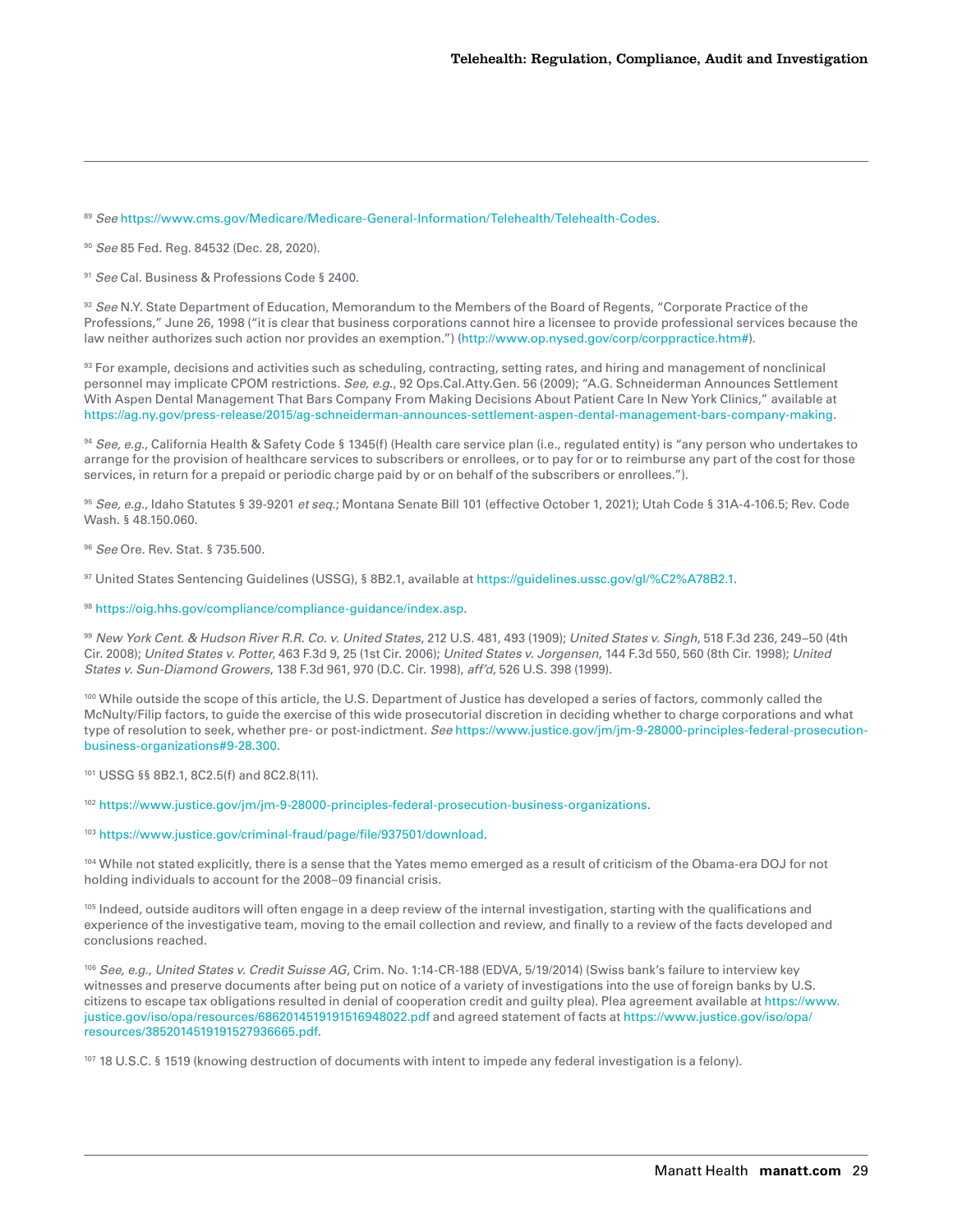<span id="page-28-0"></span><sup>89</sup> *See* <https://www.cms.gov/Medicare/Medicare-General-Information/Telehealth/Telehealth-Codes>.

<sup>90</sup> *See* 85 Fed. Reg. 84532 (Dec. 28, 2020).

<sup>91</sup> *See* Cal. Business & Professions Code § 2400.

92 *See* N.Y. State Department of Education, Memorandum to the Members of the Board of Regents, "Corporate Practice of the Professions," June 26, 1998 ("it is clear that business corporations cannot hire a licensee to provide professional services because the law neither authorizes such action nor provides an exemption.") (<http://www.op.nysed.gov/corp/corppractice.htm#>).

93 For example, decisions and activities such as scheduling, contracting, setting rates, and hiring and management of nonclinical personnel may implicate CPOM restrictions. *See, e.g.*, 92 Ops.Cal.Atty.Gen. 56 (2009); "A.G. Schneiderman Announces Settlement With Aspen Dental Management That Bars Company From Making Decisions About Patient Care In New York Clinics," available at <https://ag.ny.gov/press-release/2015/ag-schneiderman-announces-settlement-aspen-dental-management-bars-company-making>.

<sup>94</sup> *See, e.g.*, California Health & Safety Code § 1345(f) (Health care service plan (i.e., regulated entity) is "any person who undertakes to arrange for the provision of healthcare services to subscribers or enrollees, or to pay for or to reimburse any part of the cost for those services, in return for a prepaid or periodic charge paid by or on behalf of the subscribers or enrollees.").

<sup>95</sup> *See, e.g.*, Idaho Statutes § 39-9201 *et seq.*; Montana Senate Bill 101 (effective October 1, 2021); Utah Code § 31A-4-106.5; Rev. Code Wash. § 48.150.060.

<sup>96</sup> *See* Ore. Rev. Stat. § 735.500.

97 United States Sentencing Guidelines (USSG), § 8B2.1, available at [https://guidelines.ussc.gov/gl/%C2%A78B2.1.](https://guidelines.ussc.gov/gl/%C2%A78B2.1)

<sup>98</sup> [https://oig.hhs.gov/compliance/compliance-guidance/index.asp.](https://oig.hhs.gov/compliance/compliance-guidance/index.asp)

<sup>99</sup> *New York Cent. & Hudson River R.R. Co. v. United States*, 212 U.S. 481, 493 (1909); *United States v. Singh*, 518 F.3d 236, 249–50 (4th Cir. 2008); *United States v. Potter*, 463 F.3d 9, 25 (1st Cir. 2006); *United States v. Jorgensen*, 144 F.3d 550, 560 (8th Cir. 1998); *United States v. Sun-Diamond Growers*, 138 F.3d 961, 970 (D.C. Cir. 1998), *aff'd*, 526 U.S. 398 (1999).

<sup>100</sup> While outside the scope of this article, the U.S. Department of Justice has developed a series of factors, commonly called the McNulty/Filip factors, to guide the exercise of this wide prosecutorial discretion in deciding whether to charge corporations and what type of resolution to seek, whether pre- or post-indictment. *See* [https://www.justice.gov/jm/jm-9-28000-principles-federal-prosecution](https://www.justice.gov/jm/jm-9-28000-principles-federal-prosecution-business-organizations#9-28.300)[business-organizations#9-28.300.](https://www.justice.gov/jm/jm-9-28000-principles-federal-prosecution-business-organizations#9-28.300)

101 USSG §§ 8B2.1, 8C2.5(f) and 8C2.8(11).

<sup>102</sup> [https://www.justice.gov/jm/jm-9-28000-principles-federal-prosecution-business-organizations.](https://www.justice.gov/jm/jm-9-28000-principles-federal-prosecution-business-organizations)

<sup>103</sup> [https://www.justice.gov/criminal-fraud/page/file/937501/download.](https://www.justice.gov/criminal-fraud/page/file/937501/download)

<sup>104</sup> While not stated explicitly, there is a sense that the Yates memo emerged as a result of criticism of the Obama-era DOJ for not holding individuals to account for the 2008–09 financial crisis.

<sup>105</sup> Indeed, outside auditors will often engage in a deep review of the internal investigation, starting with the qualifications and experience of the investigative team, moving to the email collection and review, and finally to a review of the facts developed and conclusions reached.

<sup>106</sup> *See, e.g.*, *United States v. Credit Suisse AG*, Crim. No. 1:14-CR-188 (EDVA, 5/19/2014) (Swiss bank's failure to interview key witnesses and preserve documents after being put on notice of a variety of investigations into the use of foreign banks by U.S. citizens to escape tax obligations resulted in denial of cooperation credit and guilty plea). Plea agreement available at [https://www.](https://www.justice.gov/iso/opa/resources/6862014519191516948022.pdf) [justice.gov/iso/opa/resources/6862014519191516948022.pdf](https://www.justice.gov/iso/opa/resources/6862014519191516948022.pdf) and agreed statement of facts at [https://www.justice.gov/iso/opa/](https://www.justice.gov/iso/opa/resources/3852014519191527936665.pdf) [resources/3852014519191527936665.pdf](https://www.justice.gov/iso/opa/resources/3852014519191527936665.pdf).

107 18 U.S.C. § 1519 (knowing destruction of documents with intent to impede any federal investigation is a felony).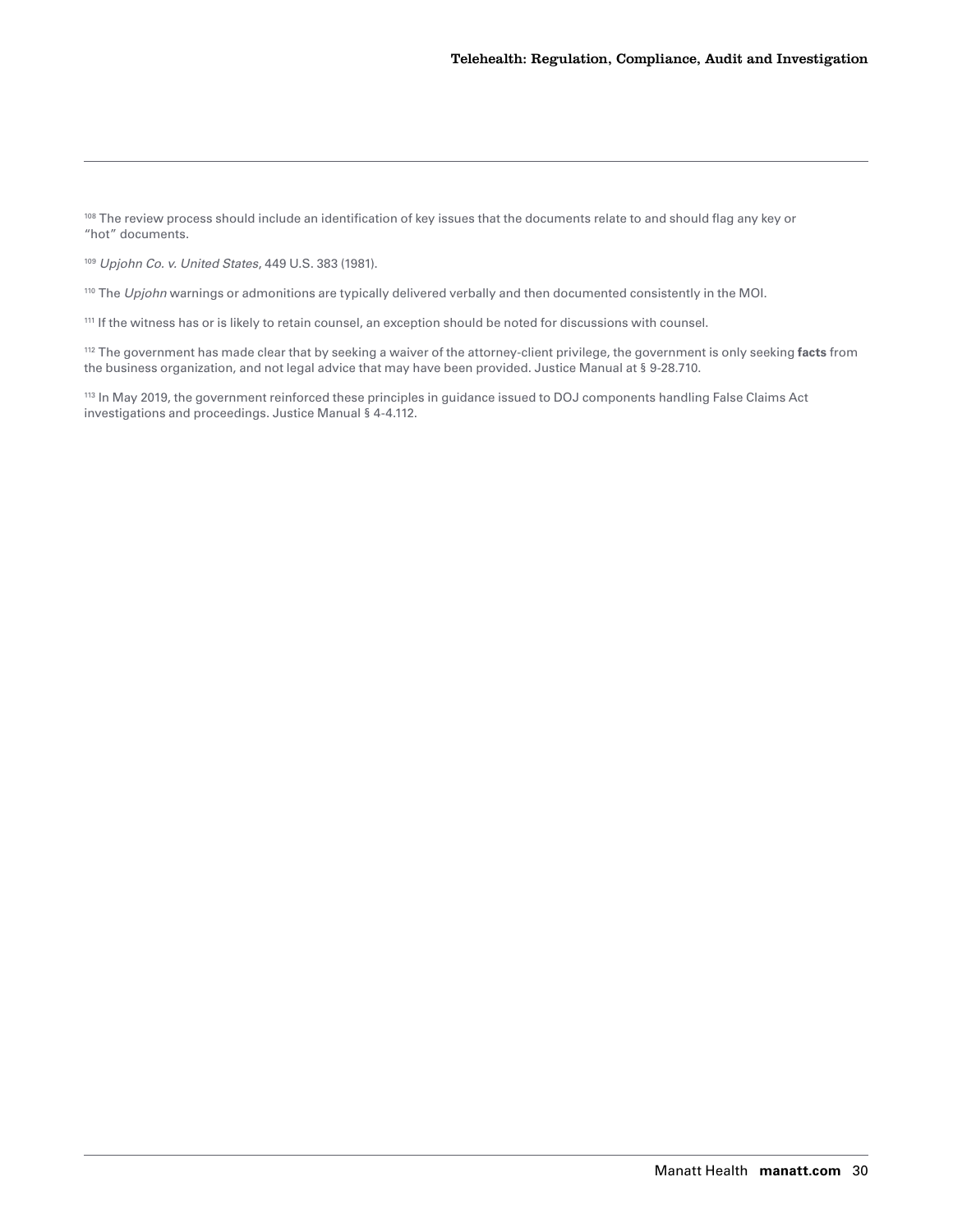<span id="page-29-0"></span><sup>108</sup> The review process should include an identification of key issues that the documents relate to and should flag any key or "hot" documents.

<sup>109</sup> *Upjohn Co. v. United States*, 449 U.S. 383 (1981).

<sup>110</sup> The *Upjohn* warnings or admonitions are typically delivered verbally and then documented consistently in the MOI.

111 If the witness has or is likely to retain counsel, an exception should be noted for discussions with counsel.

112 The government has made clear that by seeking a waiver of the attorney-client privilege, the government is only seeking **facts** from the business organization, and not legal advice that may have been provided. Justice Manual at § 9-28.710.

113 In May 2019, the government reinforced these principles in guidance issued to DOJ components handling False Claims Act investigations and proceedings. Justice Manual § 4-4.112.